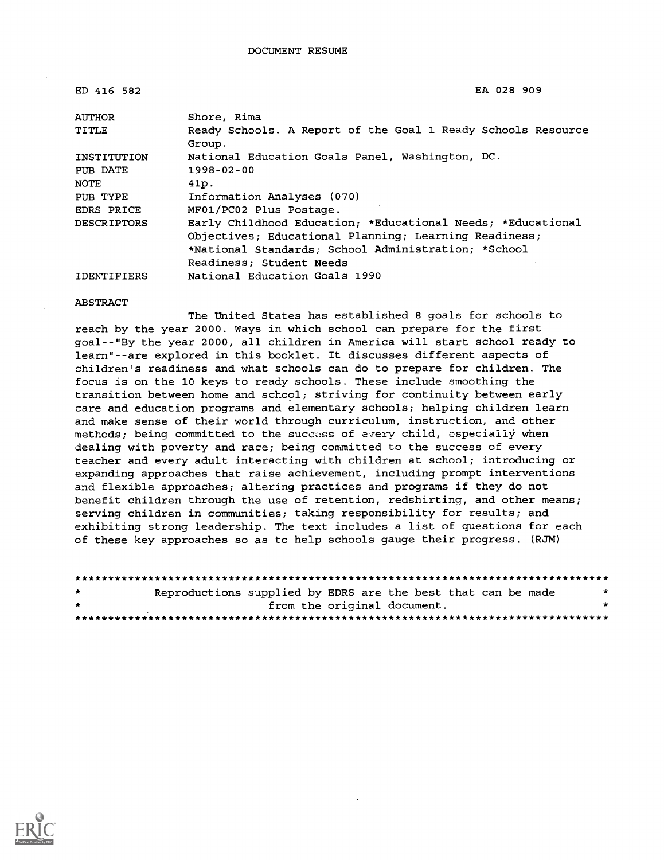| ED 416 582         | EA 028 909                                                             |
|--------------------|------------------------------------------------------------------------|
| <b>AUTHOR</b>      | Shore, Rima                                                            |
| TITLE              | Ready Schools. A Report of the Goal 1 Ready Schools Resource<br>Group. |
| INSTITUTION        | National Education Goals Panel, Washington, DC.                        |
| PUB DATE           | $1998 - 02 - 00$                                                       |
| NOTE               | 41p.                                                                   |
| PUB TYPE           | Information Analyses (070)                                             |
| EDRS PRICE         | MF01/PC02 Plus Postage.                                                |
| <b>DESCRIPTORS</b> | Early Childhood Education; *Educational Needs; *Educational            |
|                    | Objectives; Educational Planning; Learning Readiness;                  |
|                    | *National Standards; School Administration; *School                    |
|                    | Readiness: Student Needs                                               |
| <b>IDENTIFIERS</b> | National Education Goals 1990                                          |

#### ABSTRACT

The United States has established 8 goals for schools to reach by the year 2000. Ways in which school can prepare for the first goal--"By the year 2000, all children in America will start school ready to learn"--are explored in this booklet. It discusses different aspects of children's readiness and what schools can do to prepare for children. The focus is on the 10 keys to ready schools. These include smoothing the transition between home and school; striving for continuity between early care and education programs and elementary schools; helping children learn and make sense of their world through curriculum, instruction, and other methods; being committed to the success of every child, especially when dealing with poverty and race; being committed to the success of every teacher and every adult interacting with children at school; introducing or expanding approaches that raise achievement, including prompt interventions and flexible approaches; altering practices and programs if they do not benefit children through the use of retention, redshirting, and other means; serving children in communities; taking responsibility for results; and exhibiting strong leadership. The text includes a list of questions for each of these key approaches so as to help schools gauge their progress. (RJM)

| $\star$      | Reproductions supplied by EDRS are the best that can be made |                             |  |  |  |
|--------------|--------------------------------------------------------------|-----------------------------|--|--|--|
| $\mathbf{r}$ |                                                              | from the original document. |  |  |  |
|              |                                                              |                             |  |  |  |

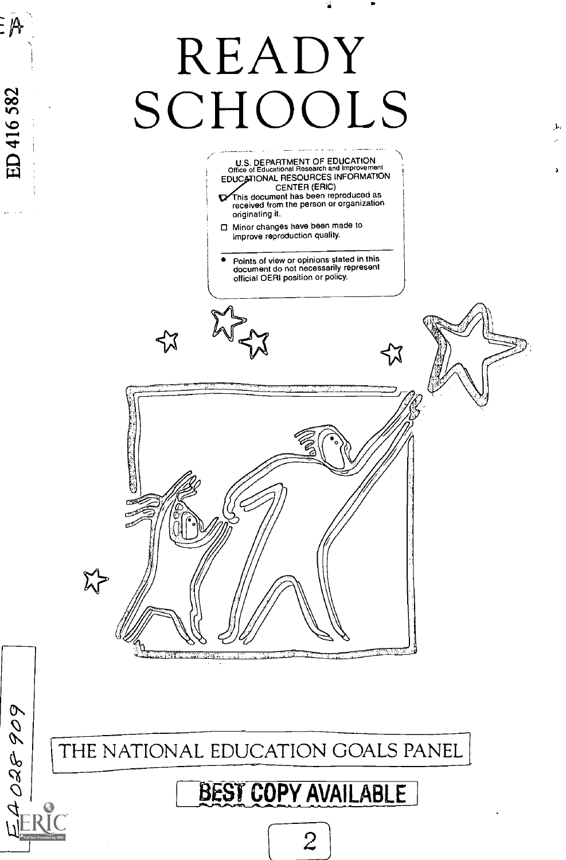# READY SCHOOLS FOR SALL

originating it.

Minor changes have been made to improve reproduction quality. Points of view or opinions stated in this document do not necessarily represent official OERI position or policy. ⊀Х  $\boldsymbol{\widetilde{\lambda}}$ 

U.S. DEPARTMENT OF EDUCATION<br>Office of Educational Research and Improvement<br>EDUCATIONAL RESOURCES INFORMATION CENTER (ERIC) This document has been reproduced as received from the person or organization

THE NATIONAL EDUCATION GOALS PANEL

28.31

EA O28 909

 $\overline{\mathbb{R}}$ 

ED 416 582

### BEST COPY AVAILABLE

2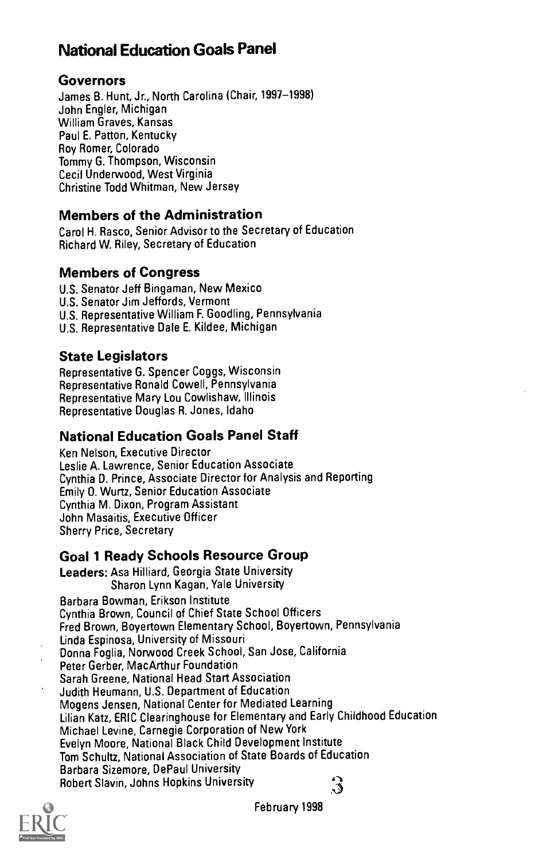#### National Education Goals Panel

#### Governors

James B. Hunt, Jr., North Carolina (Chair, 1997-1998) John Engler, Michigan William Graves, Kansas Paul E. Patton, Kentucky Roy Romer, Colorado Tommy G. Thompson, Wisconsin Cecil Underwood, West Virginia Christine Todd Whitman, New Jersey

#### Members of the Administration

Carol H. Rasco, Senior Advisor to the Secretary of Education Richard W. Riley, Secretary of Education

#### Members of Congress

U.S. Senator Jeff Bingaman, New Mexico U.S. Senator Jim Jeffords, Vermont U.S. Representative William F. Goodling, Pennsylvania U.S. Representative Dale E. Kildee, Michigan

#### State Legislators

Representative G. Spencer Coggs, Wisconsin Representative Ronald Cowell, Pennsylvania Representative Mary Lou Cowlishaw, Illinois Representative Douglas R. Jones, Idaho

#### National Education Goals Panel Staff

Ken Nelson, Executive Director Leslie A. Lawrence, Senior Education Associate Cynthia D. Prince, Associate Director for Analysis and Reporting Emily 0. Wurtz, Senior Education Associate Cynthia M. Dixon, Program Assistant John Masaitis, Executive Officer Sherry Price, Secretary

#### Goal 1 Ready Schools Resource Group

Leaders: Asa Hilliard, Georgia State University Sharon Lynn Kagan, Yale University Barbara Bowman, Erikson Institute Cynthia Brown, Council of Chief State School Officers Fred Brown, Boyertown Elementary School, Boyertown, Pennsylvania Linda Espinosa, University of Missouri Donna Foglia, Norwood Creek School, San Jose, California Peter Gerber, MacArthur Foundation Sarah Greene, National Head Start Association Judith Neumann, U.S. Department of Education Mogens Jensen, National Center for Mediated Learning Lilian Katz, ERIC Clearinghouse for Elementary and Early Childhood Education Michael Levine, Carnegie Corporation of New York Evelyn Moore, National Black Child Development Institute Tom Schultz, National Association of State Boards of Education Barbara Sizemore, DePaul University Robert Slavin, Johns Hopkins University 3



February 1998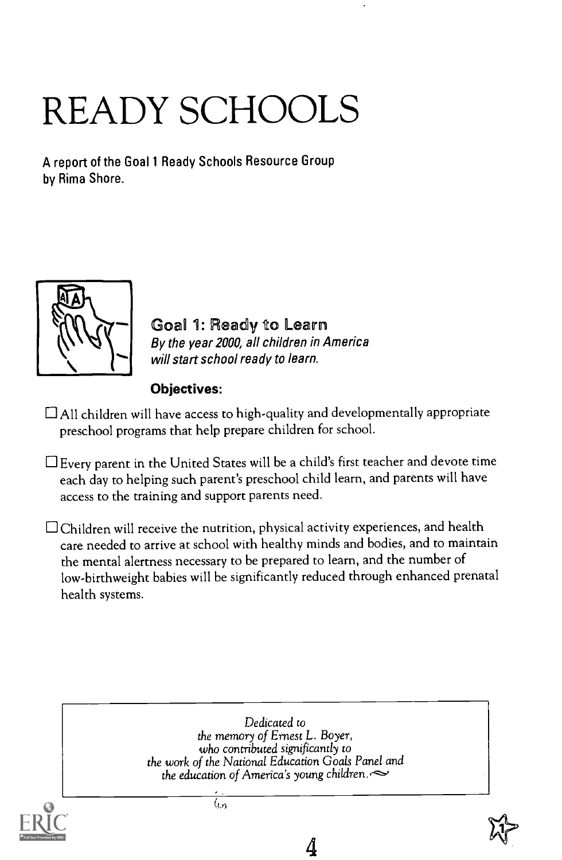## READY SCHOOLS

A report of the Goal 1 Ready Schools Resource Group by Rima Shore.



Goal 1: Ready to Learn By the year 2000, all children in America will start school ready to learn.

#### Objectives:

 $\Box$  All children will have access to high-quality and developmentally appropriate preschool programs that help prepare children for school.

 $\Box$  Every parent in the United States will be a child's first teacher and devote time each day to helping such parent's preschool child learn, and parents will have access to the training and support parents need.

 $\Box$  Children will receive the nutrition, physical activity experiences, and health care needed to arrive at school with healthy minds and bodies, and to maintain the mental alertness necessary to be prepared to learn, and the number of low-birthweight babies will be significantly reduced through enhanced prenatal health systems.



4

 $\overline{\langle \wp \rangle}$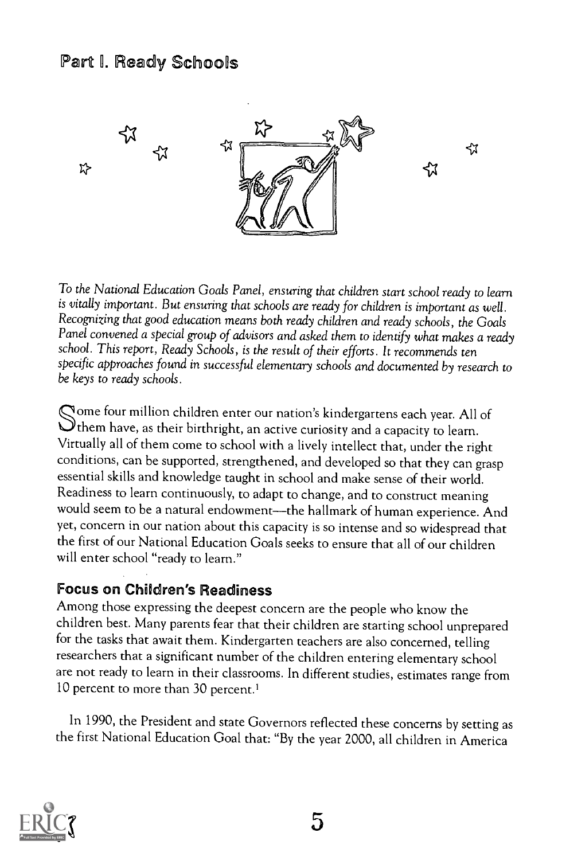#### Part I. Ready Schools



To the National Education Goals Panel, ensuring that children start school ready to learn is vitally important. But ensuring that schools are ready for children is important as well. Recognizing that good education means both ready children and ready schools, the Goals Panel convened a special group of advisors and asked them to identify what makes a ready school. This report, Ready Schools, is the result of their efforts. It recommends ten specific approaches found in successful elementary schools and documented by research to be keys to ready schools.

Gome four million children enter our nation's kindergartens each year. All of  $\bigcirc$  them have, as their birthright, an active curiosity and a capacity to learn. Virtually all of them come to school with a lively intellect that, under the right conditions, can be supported, strengthened, and developed so that they can grasp essential skills and knowledge taught in school and make sense of their world. Readiness to learn continuously, to adapt to change, and to construct meaning would seem to be a natural endowment---the hallmark of human experience. And yet, concern in our nation about this capacity is so intense and so widespread that the first of our National Education Goals seeks to ensure that all of our children will enter school "ready to learn."

#### Focus on Children's Readiness

Among those expressing the deepest concern are the people who know the children best. Many parents fear that their children are starting school unprepared for the tasks that await them. Kindergarten teachers are also concerned, telling researchers that a significant number of the children entering elementary school are not ready to learn in their classrooms. In different studies, estimates range from 10 percent to more than 30 percent.'

In 1990, the President and state Governors reflected these concerns by setting as the first National Education Goal that: "By the year 2000, all children in America

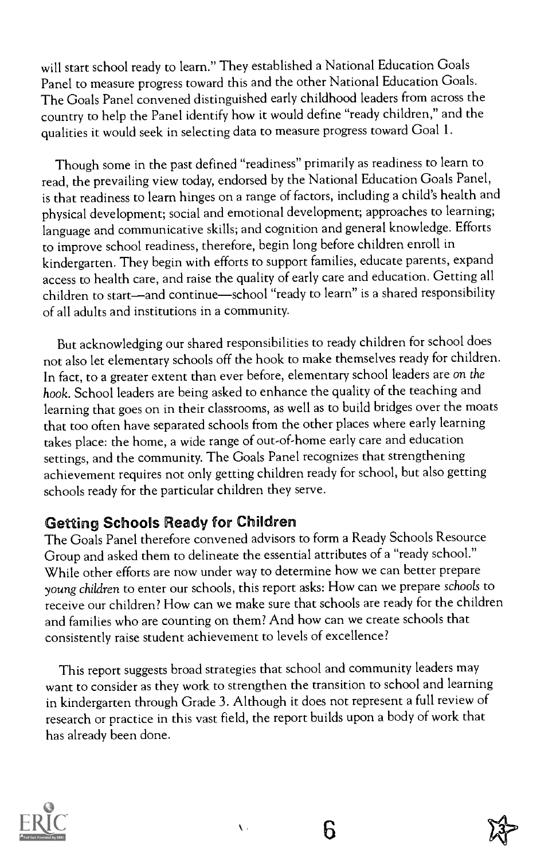will start school ready to learn." They established a National Education Goals Panel to measure progress toward this and the other National Education Goals. The Goals Panel convened distinguished early childhood leaders from across the country to help the Panel identify how it would define "ready children," and the qualities it would seek in selecting data to measure progress toward Goal 1.

Though some in the past defined "readiness" primarily as readiness to learn to read, the prevailing view today, endorsed by the National Education Goals Panel, is that readiness to learn hinges on a range of factors, including a child's health and physical development; social and emotional development; approaches to learning; language and communicative skills; and cognition and general knowledge. Efforts to improve school readiness, therefore, begin long before children enroll in kindergarten. They begin with efforts to support families, educate parents, expand access to health care, and raise the quality of early care and education. Getting all children to start—and continue—school "ready to learn" is a shared responsibility of all adults and institutions in a community.

But acknowledging our shared responsibilities to ready children for school does not also let elementary schools off the hook to make themselves ready for children. In fact, to a greater extent than ever before, elementary school leaders are on the hook. School leaders are being asked to enhance the quality of the teaching and learning that goes on in their classrooms, as well as to build bridges over the moats that too often have separated schools from the other places where early learning takes place: the home, a wide range of out-of-home early care and education settings, and the community. The Goals Panel recognizes that strengthening achievement requires not only getting children ready for school, but also getting schools ready for the particular children they serve.

#### Getting Schools Ready for Children

The Goals Panel therefore convened advisors to form a Ready Schools Resource Group and asked them to delineate the essential attributes of a "ready school." While other efforts are now under way to determine how we can better prepare young children to enter our schools, this report asks: How can we prepare schools to receive our children? How can we make sure that schools are ready for the children and families who are counting on them? And how can we create schools that consistently raise student achievement to levels of excellence?

This report suggests broad strategies that school and community leaders may want to consider as they work to strengthen the transition to school and learning in kindergarten through Grade 3. Although it does not represent a full review of research or practice in this vast field, the report builds upon a body of work that has already been done.





6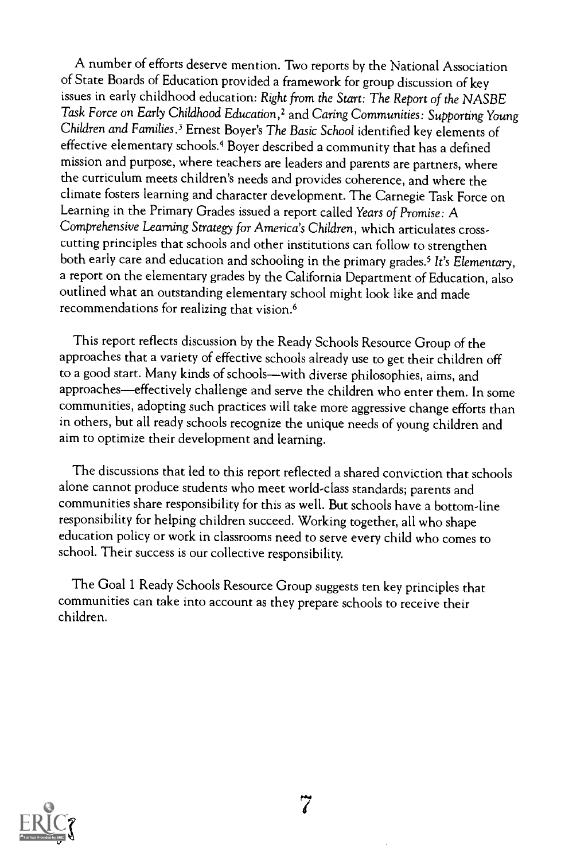A number of efforts deserve mention. Two reports by the National Association of State Boards of Education provided a framework for group discussion of key issues in early childhood education: Right from the Start: The Report of the NASBE Task Force on Early Childhood Education,2 and Caring Communities: Supporting Young Children and Families.' Ernest Boyer's The Basic School identified key elements of effective elementary schools.4 Boyer described a community that has a defined mission and purpose, where teachers are leaders and parents are partners, where the curriculum meets children's needs and provides coherence, and where the climate fosters learning and character development. The Carnegie Task Force on Learning in the Primary Grades issued a report called Years of Promise: A Comprehensive Learning Strategy for America's Children, which articulates cross cutting principles that schools and other institutions can follow to strengthen both early care and education and schooling in the primary grades.<sup>5</sup> It's Elementary, a report on the elementary grades by the California Department of Education, also outlined what an outstanding elementary school might look like and made recommendations for realizing that vision.<sup>6</sup>

This report reflects discussion by the Ready Schools Resource Group of the approaches that a variety of effective schools already use to get their children off to a good start. Many kinds of schools—with diverse philosophies, aims, and approaches—effectively challenge and serve the children who enter them. In some communities, adopting such practices will take more aggressive change efforts than in others, but all ready schools recognize the unique needs of young children and aim to optimize their development and learning.

The discussions that led to this report reflected a shared conviction that schools alone cannot produce students who meet world-class standards; parents and communities share responsibility for this as well. But schools have a bottom-line responsibility for helping children succeed. Working together, all who shape education policy or work in classrooms need to serve every child who comes to school. Their success is our collective responsibility.

The Goal 1 Ready Schools Resource Group suggests ten key principles that communities can take into account as they prepare schools to receive their children.

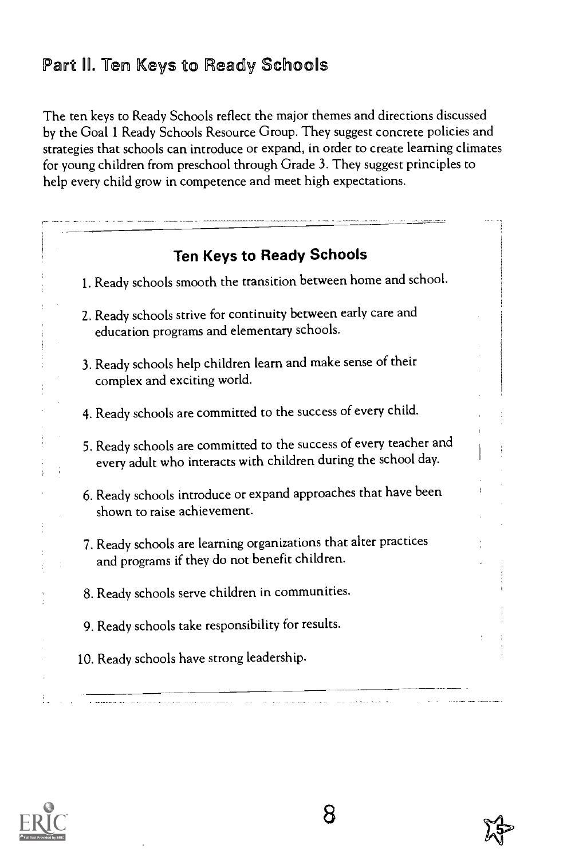#### Part ll. Ten Keys to Ready Schools

The ten keys to Ready Schools reflect the major themes and directions discussed by the Goal 1 Ready Schools Resource Group. They suggest concrete policies and strategies that schools can introduce or expand, in order to create learning climates for young children from preschool through Grade 3. They suggest principles to help every child grow in competence and meet high expectations.

| <b>Ten Keys to Ready Schools</b>                                                                                                     |
|--------------------------------------------------------------------------------------------------------------------------------------|
| 1. Ready schools smooth the transition between home and school.                                                                      |
| 2. Ready schools strive for continuity between early care and<br>education programs and elementary schools.                          |
| 3. Ready schools help children learn and make sense of their<br>complex and exciting world.                                          |
| 4. Ready schools are committed to the success of every child.                                                                        |
| 5. Ready schools are committed to the success of every teacher and<br>every adult who interacts with children during the school day. |
| 6. Ready schools introduce or expand approaches that have been<br>shown to raise achievement.                                        |
| 7. Ready schools are learning organizations that alter practices<br>and programs if they do not benefit children.                    |
| 8. Ready schools serve children in communities.                                                                                      |
| 9. Ready schools take responsibility for results.                                                                                    |
| 10. Ready schools have strong leadership.                                                                                            |

8

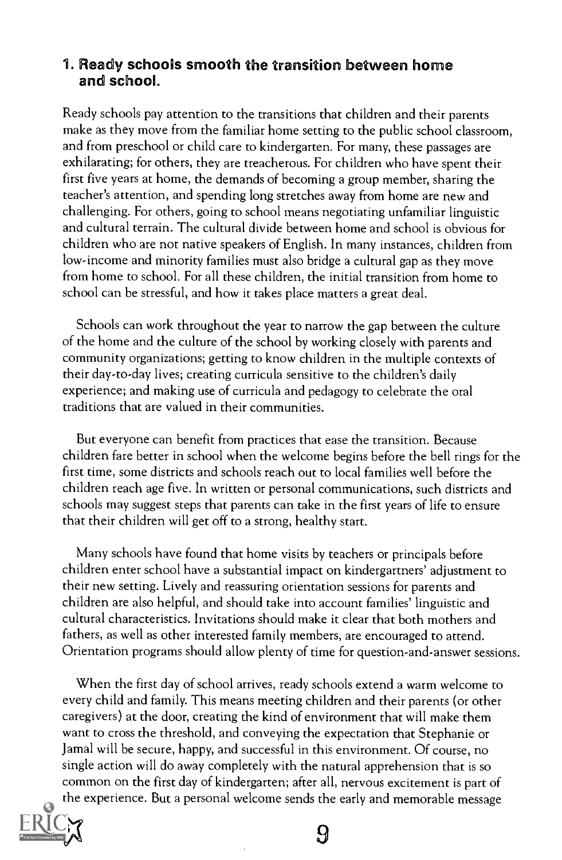#### 1. Ready schools smooth the transition between home and school.

Ready schools pay attention to the transitions that children and their parents make as they move from the familiar home setting to the public school classroom, and from preschool or child care to kindergarten. For many, these passages are exhilarating; for others, they are treacherous. For children who have spent their first five years at home, the demands of becoming a group member, sharing the teacher's attention, and spending long stretches away from home are new and challenging. For others, going to school means negotiating unfamiliar linguistic and cultural terrain. The cultural divide between home and school is obvious for children who are not native speakers of English. In many instances, children from low-income and minority families must also bridge a cultural gap as they move from home to school. For all these children, the initial transition from home to school can be stressful, and how it takes place matters a great deal.

Schools can work throughout the year to narrow the gap between the culture of the home and the culture of the school by working closely with parents and community organizations; getting to know children in the multiple contexts of their day-to-day lives; creating curricula sensitive to the children's daily experience; and making use of curricula and pedagogy to celebrate the oral traditions that are valued in their communities.

But everyone can benefit from practices that ease the transition. Because children fare better in school when the welcome begins before the bell rings for the first time, some districts and schools reach out to local families well before the children reach age five. In written or personal communications, such districts and schools may suggest steps that parents can take in the first years of life to ensure that their children will get off to a strong, healthy start.

Many schools have found that home visits by teachers or principals before children enter school have a substantial impact on kindergartners' adjustment to their new setting. Lively and reassuring orientation sessions for parents and children are also helpful, and should take into account families' linguistic and cultural characteristics. Invitations should make it clear that both mothers and fathers, as well as other interested family members, are encouraged to attend. Orientation programs should allow plenty of time for question-and-answer sessions.

When the first day of school arrives, ready schools extend a warm welcome to every child and family. This means meeting children and their parents (or other caregivers) at the door, creating the kind of environment that will make them want to cross the threshold, and conveying the expectation that Stephanie or Jamal will be secure, happy, and successful in this environment. Of course, no single action will do away completely with the natural apprehension that is so common on the first day of kindergarten; after all, nervous excitement is part of the experience. But a personal welcome sends the early and memorable message



**9**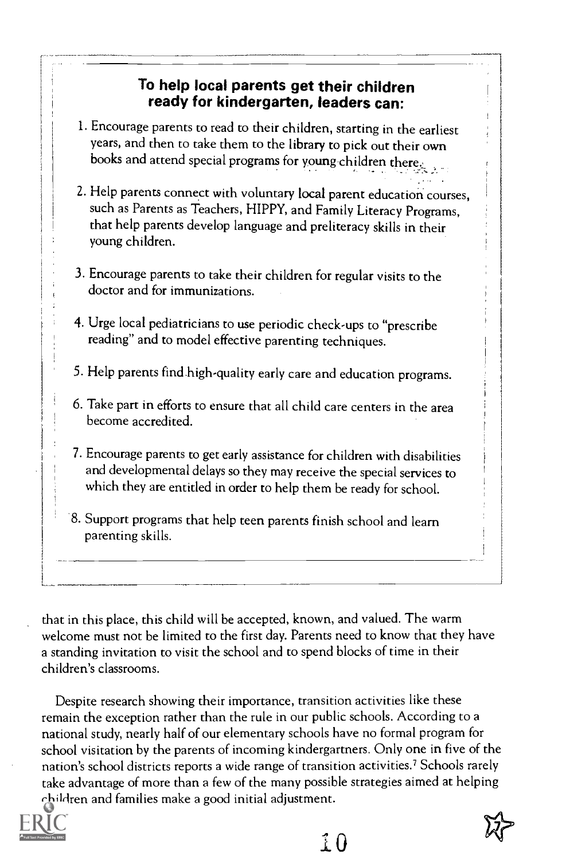#### To help local parents get their children ready for kindergarten, leaders can:

- 1. Encourage parents to read to their children, starting in the earliest years, and then to take them to the library to pick out their own books and attend special programs for young children there:
- 2. Help parents connect with voluntary local parent education courses, such as Parents as Teachers, HIPPY, and Family Literacy Programs, that help parents develop language and preliteracy skills in their young children.
- 3. Encourage parents to take their children for regular visits to the doctor and for immunizations.
- 4. Urge local pediatricians to use periodic check-ups to "prescribe reading" and to model effective parenting techniques.
- 5. Help parents find.high-quality early care and education programs.
- 6. Take part in efforts to ensure that all child care centers in the area become accredited.
- 7. Encourage parents to get early assistance for children with disabilities and developmental delays so they may receive the special services to which they are entitled in order to help them be ready for school.
- 8. Support programs that help teen parents finish school and learn parenting skills.

that in this place, this child will be accepted, known, and valued. The warm welcome must not be limited to the first day. Parents need to know that they have a standing invitation to visit the school and to spend blocks of time in their children's classrooms.

Despite research showing their importance, transition activities like these remain the exception rather than the rule in our public schools. According to a national study, nearly half of our elementary schools have no formal program for school visitation by the parents of incoming kindergartners. Only one in five of the nation's school districts reports a wide range of transition activities.? Schools rarely take advantage of more than a few of the many possible strategies aimed at helping children and families make a good initial adjustment.



10

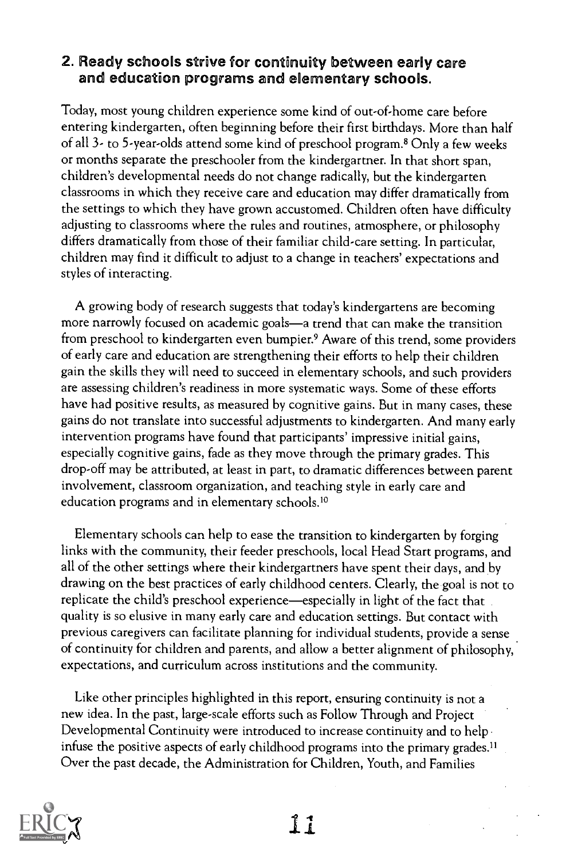#### 2. Ready schools strive for continuity between early care and education programs and elementary schools.

Today, most young children experience some kind of out-of-home care before entering kindergarten, often beginning before their first birthdays. More than half of all 3- to 5-year-olds attend some kind of preschool program.8 Only a few weeks or months separate the preschooler from the kindergartner. In that short span, children's developmental needs do not change radically, but the kindergarten classrooms in which they receive care and education may differ dramatically from the settings to which they have grown accustomed. Children often have difficulty adjusting to classrooms where the rules and routines, atmosphere, or philosophy differs dramatically from those of their familiar child-care setting. In particular, children may find it difficult to adjust to a change in teachers' expectations and styles of interacting.

A growing body of research suggests that today's kindergartens are becoming more narrowly focused on academic goals—a trend that can make the transition from preschool to kindergarten even bumpier.<sup>9</sup> Aware of this trend, some providers of early care and education are strengthening their efforts to help their children gain the skills they will need to succeed in elementary schools, and such providers are assessing children's readiness in more systematic ways. Some of these efforts have had positive results, as measured by cognitive gains. But in many cases, these gains do not translate into successful adjustments to kindergarten. And many early intervention programs have found that participants' impressive initial gains, especially cognitive gains, fade as they move through the primary grades. This drop-off may be attributed, at least in part, to dramatic differences between parent involvement, classroom organization, and teaching style in early care and education programs and in elementary schools.<sup>10</sup>

Elementary schools can help to ease the transition to kindergarten by forging links with the community, their feeder preschools, local Head Start programs, and all of the other settings where their kindergartners have spent their days, and by drawing on the best practices of early childhood centers. Clearly, the goal is not to replicate the child's preschool experience—especially in light of the fact that quality is so elusive in many early care and education settings. But contact with previous caregivers can facilitate planning for individual students, provide a sense of continuity for children and parents, and allow a better alignment of philosophy, expectations, and curriculum across institutions and the community.

Like other principles highlighted in this report, ensuring continuity is not a new idea. In the past, large-scale efforts such as Follow Through and Project Developmental Continuity were introduced to increase continuity and to help infuse the positive aspects of early childhood programs into the primary grades.<sup>11</sup> Over the past decade, the Administration for Children, Youth, and Families

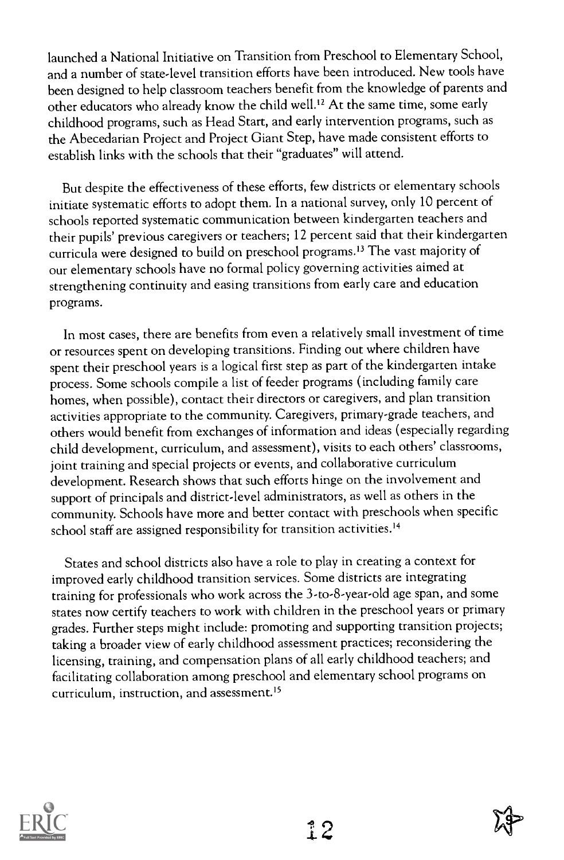launched a National Initiative on Transition from Preschool to Elementary School, and a number of state-level transition efforts have been introduced. New tools have been designed to help classroom teachers benefit from the knowledge of parents and other educators who already know the child well.12 At the same time, some early childhood programs, such as Head Start, and early intervention programs, such as the Abecedarian Project and Project Giant Step, have made consistent efforts to establish links with the schools that their "graduates" will attend.

But despite the effectiveness of these efforts, few districts or elementary schools initiate systematic efforts to adopt them. In a national survey, only 10 percent of schools reported systematic communication between kindergarten teachers and their pupils' previous caregivers or teachers; 12 percent said that their kindergarten curricula were designed to build on preschool programs.13 The vast majority of our elementary schools have no formal policy governing activities aimed at strengthening continuity and easing transitions from early care and education programs.

In most cases, there are benefits from even a relatively small investment of time or resources spent on developing transitions. Finding out where children have spent their preschool years is a logical first step as part of the kindergarten intake process. Some schools compile a list of feeder programs (including family care homes, when possible), contact their directors or caregivers, and plan transition activities appropriate to the community. Caregivers, primary-grade teachers, and others would benefit from exchanges of information and ideas (especially regarding child development, curriculum, and assessment), visits to each others' classrooms, joint training and special projects or events, and collaborative curriculum development. Research shows that such efforts hinge on the involvement and support of principals and district-level administrators, as well as others in the community. Schools have more and better contact with preschools when specific school staff are assigned responsibility for transition activities.<sup>14</sup>

States and school districts also have a role to play in creating a context for improved early childhood transition services. Some districts are integrating training for professionals who work across the 3-to-8-year-old age span, and some states now certify teachers to work with children in the preschool years or primary grades. Further steps might include: promoting and supporting transition projects; taking a broader view of early childhood assessment practices; reconsidering the licensing, training, and compensation plans of all early childhood teachers; and facilitating collaboration among preschool and elementary school programs on curriculum, instruction, and assessment.'5



 $12$ 

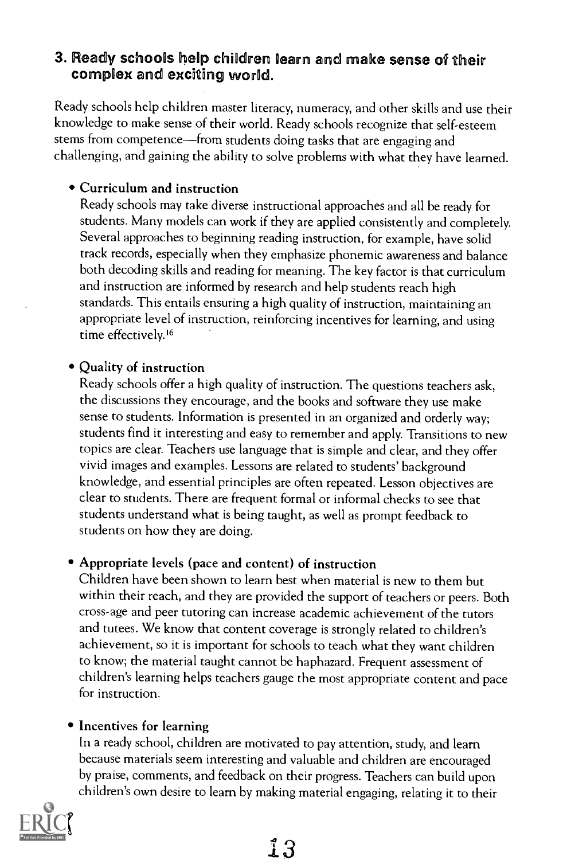## 3. Ready schools help children learn and make sense of their complex and exciting world.

Ready schools help children master literacy, numeracy, and other skills and use their knowledge to make sense of their world. Ready schools recognize that self-esteem stems from competence—from students doing tasks that are engaging and challenging, and gaining the ability to solve problems with what they have learned.

#### Curriculum and instruction

Ready schools may take diverse instructional approaches and all be ready for students. Many models can work if they are applied consistently and completely. Several approaches to beginning reading instruction, for example, have solid track records, especially when they emphasize phonemic awareness and balance both decoding skills and reading for meaning. The key factor is that curriculum and instruction are informed by research and help students reach high standards. This entails ensuring a high quality of instruction, maintaining an appropriate level of instruction, reinforcing incentives for learning, and using time effectively.'6

#### Quality of instruction

Ready schools offer a high quality of instruction. The questions teachers ask, the discussions they encourage, and the books and software they use make sense to students. Information is presented in an organized and orderly way; students find it interesting and easy to remember and apply. Transitions to new topics are clear. Teachers use language that is simple and clear, and they offer vivid images and examples. Lessons are related to students' background knowledge, and essential principles are often repeated. Lesson objectives are clear to students. There are frequent formal or informal checks to see that students understand what is being taught, as well as prompt feedback to students on how they are doing.

#### Appropriate levels (pace and content) of instruction

Children have been shown to learn best when material is new to them but within their reach, and they are provided the support of teachers or peers. Both cross-age and peer tutoring can increase academic achievement of the tutors and tutees. We know that content coverage is strongly related to children's achievement, so it is important for schools to teach what they want children to know; the material taught cannot be haphazard. Frequent assessment of children's learning helps teachers gauge the most appropriate content and pace for instruction.

#### • Incentives for learning

In a ready school, children are motivated to pay attention, study, and learn because materials seem interesting and valuable and children are encouraged by praise, comments, and feedback on their progress. Teachers can build upon children's own desire to learn by making material engaging, relating it to their

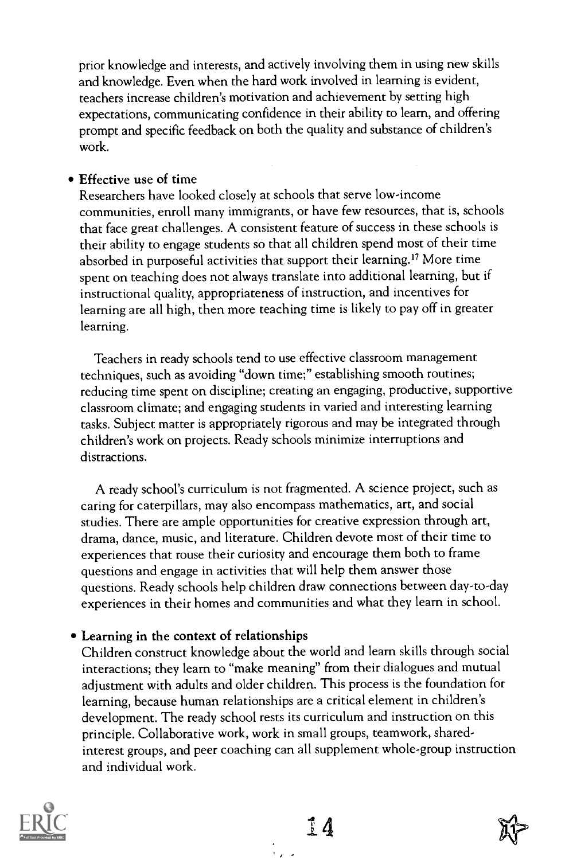prior knowledge and interests, and actively involving them in using new skills and knowledge. Even when the hard work involved in learning is evident, teachers increase children's motivation and achievement by setting high expectations, communicating confidence in their ability to learn, and offering prompt and specific feedback on both the quality and substance of children's work.

#### Effective use of time

Researchers have looked closely at schools that serve low-income communities, enroll many immigrants, or have few resources, that is, schools that face great challenges. A consistent feature of success in these schools is their ability to engage students so that all children spend most of their time absorbed in purposeful activities that support their learning.<sup>17</sup> More time spent on teaching does not always translate into additional learning, but if instructional quality, appropriateness of instruction, and incentives for learning are all high, then more teaching time is likely to pay off in greater learning.

Teachers in ready schools tend to use effective classroom management techniques, such as avoiding "down time;" establishing smooth routines; reducing time spent on discipline; creating an engaging, productive, supportive classroom climate; and engaging students in varied and interesting learning tasks. Subject matter is appropriately rigorous and may be integrated through children's work on projects. Ready schools minimize interruptions and distractions.

A ready school's curriculum is not fragmented. A science project, such as caring for caterpillars, may also encompass mathematics, art, and social studies. There are ample opportunities for creative expression through art, drama, dance, music, and literature. Children devote most of their time to experiences that rouse their curiosity and encourage them both to frame questions and engage in activities that will help them answer those questions. Ready schools help children draw connections between day-to-day experiences in their homes and communities and what they learn in school.

#### Learning in the context of relationships

Children construct knowledge about the world and learn skills through social interactions; they learn to "make meaning" from their dialogues and mutual adjustment with adults and older children. This process is the foundation for learning, because human relationships are a critical element in children's development. The ready school rests its curriculum and instruction on this principle. Collaborative work, work in small groups, teamwork, sharedinterest groups, and peer coaching can all supplement whole-group instruction and individual work.

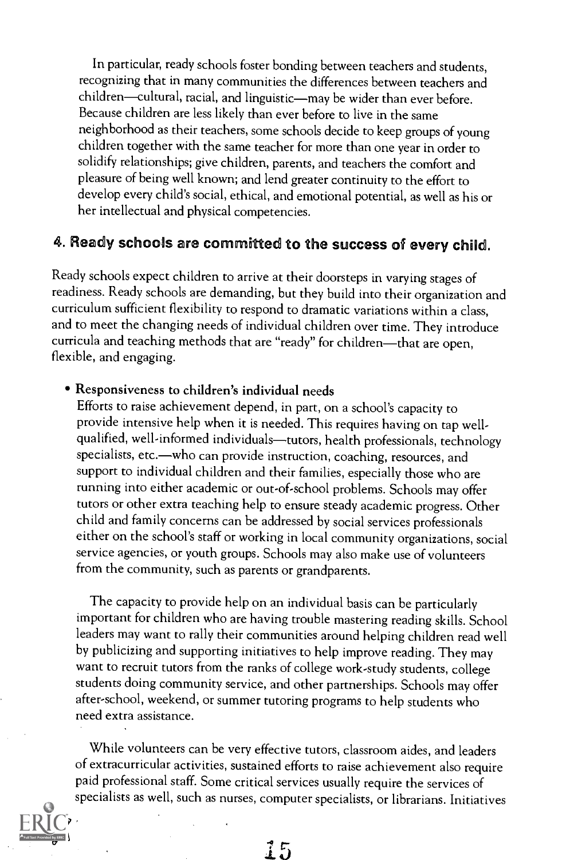In particular, ready schools foster bonding between teachers and students, recognizing that in many communities the differences between teachers and children-cultural, racial, and linguistic-may be wider than ever before. Because children are less likely than ever before to live in the same neighborhood as their teachers, some schools decide to keep groups of young children together with the same teacher for more than one year in order to solidify relationships; give children, parents, and teachers the comfort and pleasure of being well known; and lend greater continuity to the effort to develop every child's social, ethical, and emotional potential, as well as his or her intellectual and physical competencies.

#### 4. Ready schools are committed to the success of every child.

Ready schools expect children to arrive at their doorsteps in varying stages of readiness. Ready schools are demanding, but they build into their organization and curriculum sufficient flexibility to respond to dramatic variations within a class, and to meet the changing needs of individual children over time. They introduce curricula and teaching methods that are "ready" for children-that are open, flexible, and engaging.

#### Responsiveness to children's individual needs

Efforts to raise achievement depend, in part, on a school's capacity to provide intensive help when it is needed. This requires having on tap wellqualified, well-informed individuals-tutors, health professionals, technology specialists, etc.—who can provide instruction, coaching, resources, and support to individual children and their families, especially those who are running into either academic or out-of-school problems. Schools may offer tutors or other extra teaching help to ensure steady academic progress. Other child and family concerns can be addressed by social services professionals either on the school's staff or working in local community organizations, social service agencies, or youth groups. Schools may also make use of volunteers from the community, such as parents or grandparents.

The capacity to provide help on an individual basis can be particularly important for children who are having trouble mastering reading skills. School leaders may want to rally their communities around helping children read well by publicizing and supporting initiatives to help improve reading. They may want to recruit tutors from the ranks of college work-study students, college students doing community service, and other partnerships. Schools may offer after-school, weekend, or summer tutoring programs to help students who need extra assistance.

While volunteers can be very effective tutors, classroom aides, and leaders of extracurricular activities, sustained efforts to raise achievement also require paid professional staff. Some critical services usually require the services of specialists as well, such as nurses, computer specialists, or librarians. Initiatives

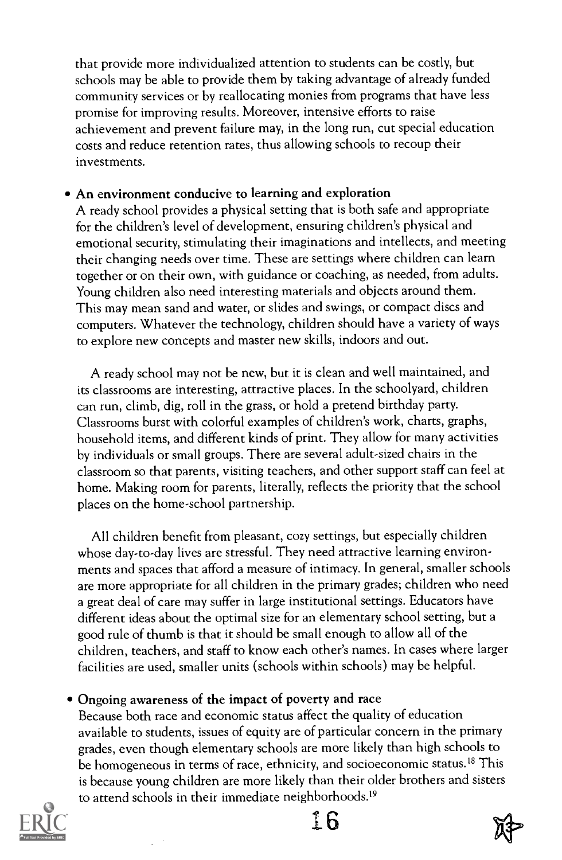that provide more individualized attention to students can be costly, but schools may be able to provide them by taking advantage of already funded community services or by reallocating monies from programs that have less promise for improving results. Moreover, intensive efforts to raise achievement and prevent failure may, in the long run, cut special education costs and reduce retention rates, thus allowing schools to recoup their investments.

#### An environment conducive to learning and exploration

A ready school provides a physical setting that is both safe and appropriate for the children's level of development, ensuring children's physical and emotional security, stimulating their imaginations and intellects, and meeting their changing needs over time. These are settings where children can learn together or on their own, with guidance or coaching, as needed, from adults. Young children also need interesting materials and objects around them. This may mean sand and water, or slides and swings, or compact discs and computers. Whatever the technology, children should have a variety of ways to explore new concepts and master new skills, indoors and out.

A ready school may not be new, but it is clean and well maintained, and its classrooms are interesting, attractive places. In the schoolyard, children can run, climb, dig, roll in the grass, or hold a pretend birthday party. Classrooms burst with colorful examples of children's work, charts, graphs, household items, and different kinds of print. They allow for many activities by individuals or small groups. There are several adult-sized chairs in the classroom so that parents, visiting teachers, and other support staff can feel at home. Making room for parents, literally, reflects the priority that the school places on the home-school partnership.

All children benefit from pleasant, cozy settings, but especially children whose day-to-day lives are stressful. They need attractive learning environments and spaces that afford a measure of intimacy. In general, smaller schools are more appropriate for all children in the primary grades; children who need a great deal of care may suffer in large institutional settings. Educators have different ideas about the optimal size for an elementary school setting, but a good rule of thumb is that it should be small enough to allow all of the children, teachers, and staff to know each other's names. In cases where larger facilities are used, smaller units (schools within schools) may be helpful.

#### Ongoing awareness of the impact of poverty and race

Because both race and economic status affect the quality of education available to students, issues of equity are of particular concern in the primary grades, even though elementary schools are more likely than high schools to be homogeneous in terms of race, ethnicity, and socioeconomic status.<sup>18</sup> This is because young children are more likely than their older brothers and sisters to attend schools in their immediate neighborhoods.<sup>19</sup>



 $16$ 

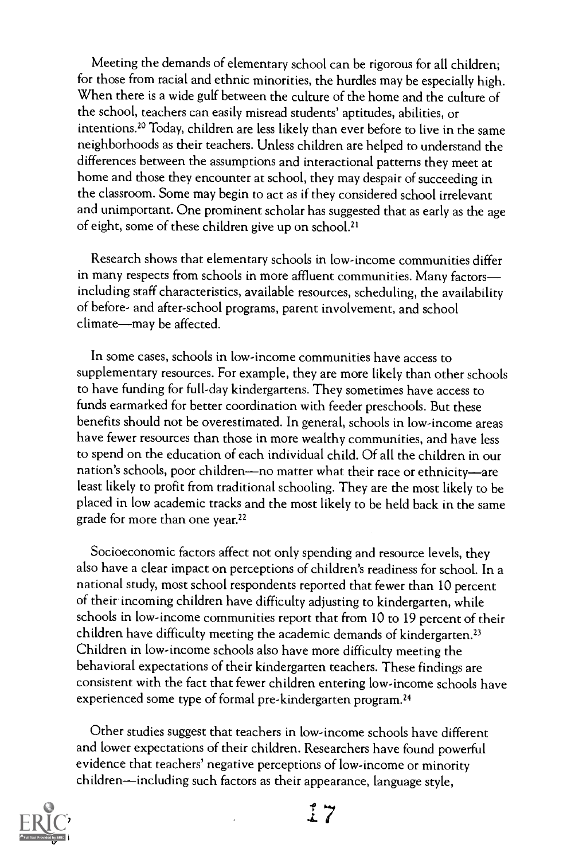Meeting the demands of elementary school can be rigorous for all children; for those from racial and ethnic minorities, the hurdles may be especially high. When there is a wide gulf between the culture of the home and the culture of the school, teachers can easily misread students' aptitudes, abilities, or intentions.20 Today, children are less likely than ever before to live in the same neighborhoods as their teachers. Unless children are helped to understand the differences between the assumptions and interactional patterns they meet at home and those they encounter at school, they may despair of succeeding in the classroom. Some may begin to act as if they considered school irrelevant and unimportant. One prominent scholar has suggested that as early as the age of eight, some of these children give up on school.<sup>21</sup>

Research shows that elementary schools in low-income communities differ in many respects from schools in more affluent communities. Many factors including staff characteristics, available resources, scheduling, the availability of before- and after-school programs, parent involvement, and school climate-may be affected.

In some cases, schools in low-income communities have access to supplementary resources. For example, they are more likely than other schools to have funding for full-day kindergartens. They sometimes have access to funds earmarked for better coordination with feeder preschools. But these benefits should not be overestimated. In general, schools in low-income areas have fewer resources than those in more wealthy communities, and have less to spend on the education of each individual child. Of all the children in our nation's schools, poor children—no matter what their race or ethnicity—are least likely to profit from traditional schooling. They are the most likely to be placed in low academic tracks and the most likely to be held back in the same grade for more than one year.<sup>22</sup>

Socioeconomic factors affect not only spending and resource levels, they also have a clear impact on perceptions of children's readiness for school. In a national study, most school respondents reported that fewer than 10 percent of their incoming children have difficulty adjusting to kindergarten, while schools in low-income communities report that from 10 to 19 percent of their children have difficulty meeting the academic demands of kindergarten.<sup>23</sup> Children in low-income schools also have more difficulty meeting the behavioral expectations of their kindergarten teachers. These findings are consistent with the fact that fewer children entering low-income schools have experienced some type of formal pre-kindergarten program.24

Other studies suggest that teachers in low-income schools have different and lower expectations of their children. Researchers have found powerful evidence that teachers' negative perceptions of low-income or minority children—including such factors as their appearance, language style,

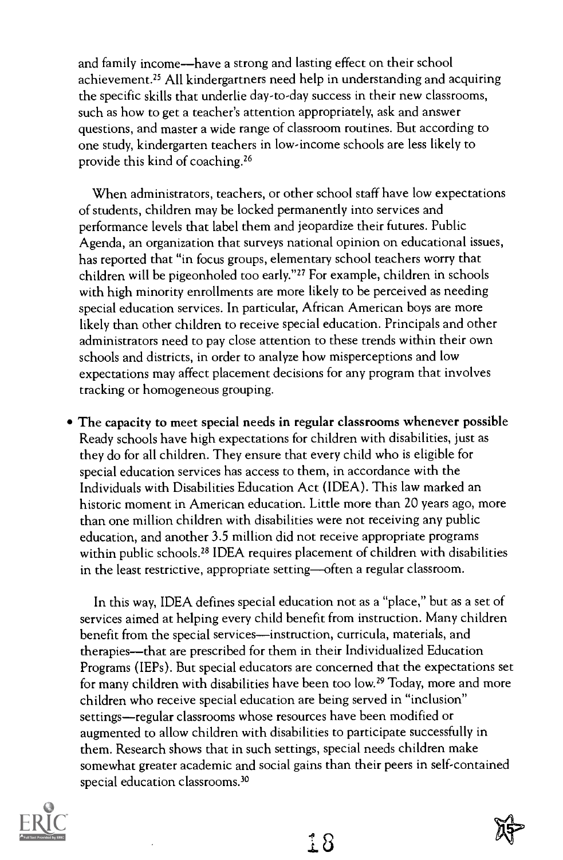and family income—have a strong and lasting effect on their school achievement.<sup>25</sup> All kindergartners need help in understanding and acquiring the specific skills that underlie day-to-day success in their new classrooms, such as how to get a teacher's attention appropriately, ask and answer questions, and master a wide range of classroom routines. But according to one study, kindergarten teachers in low-income schools are less likely to provide this kind of coaching.26

When administrators, teachers, or other school staff have low expectations of students, children may be locked permanently into services and performance levels that label them and jeopardize their futures. Public Agenda, an organization that surveys national opinion on educational issues, has reported that "in focus groups, elementary school teachers worry that children will be pigeonholed too early."27 For example, children in schools with high minority enrollments are more likely to be perceived as needing special education services. In particular, African American boys are more likely than other children to receive special education. Principals and other administrators need to pay close attention to these trends within their own schools and districts, in order to analyze how misperceptions and low expectations may affect placement decisions for any program that involves tracking or homogeneous grouping.

The capacity to meet special needs in regular classrooms whenever possible Ready schools have high expectations for children with disabilities, just as they do for all children. They ensure that every child who is eligible for special education services has access to them, in accordance with the Individuals with Disabilities Education Act (IDEA). This law marked an historic moment in American education. Little more than 20 years ago, more than one million children with disabilities were not receiving any public education, and another 3.5 million did not receive appropriate programs within public schools.<sup>28</sup> IDEA requires placement of children with disabilities in the least restrictive, appropriate setting—often a regular classroom.

In this way, IDEA defines special education not as a "place," but as a set of services aimed at helping every child benefit from instruction. Many children benefit from the special services-instruction, curricula, materials, and therapies—that are prescribed for them in their Individualized Education Programs (IEPs). But special educators are concerned that the expectations set for many children with disabilities have been too low.<sup>29</sup> Today, more and more children who receive special education are being served in "inclusion" settings—regular classrooms whose resources have been modified or augmented to allow children with disabilities to participate successfully in them. Research shows that in such settings, special needs children make somewhat greater academic and social gains than their peers in self-contained special education classrooms.30

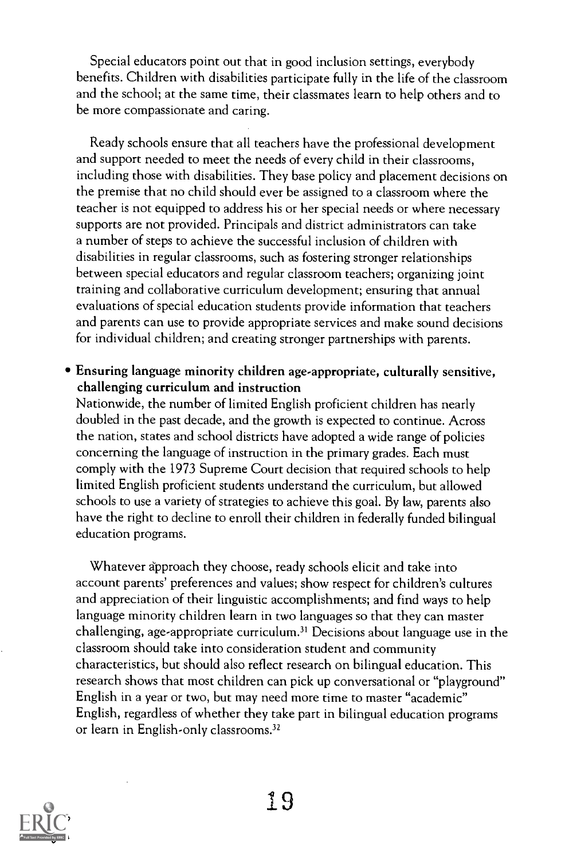Special educators point out that in good inclusion settings, everybody benefits. Children with disabilities participate fully in the life of the classroom and the school; at the same time, their classmates learn to help others and to be more compassionate and caring.

Ready schools ensure that all teachers have the professional development and support needed to meet the needs of every child in their classrooms, including those with disabilities. They base policy and placement decisions on the premise that no child should ever be assigned to a classroom where the teacher is not equipped to address his or her special needs or where necessary supports are not provided. Principals and district administrators can take a number of steps to achieve the successful inclusion of children with disabilities in regular classrooms, such as fostering stronger relationships between special educators and regular classroom teachers; organizing joint training and collaborative curriculum development; ensuring that annual evaluations of special education students provide information that teachers and parents can use to provide appropriate services and make sound decisions for individual children; and creating stronger partnerships with parents.

#### Ensuring language minority children age-appropriate, culturally sensitive, challenging curriculum and instruction

Nationwide, the number of limited English proficient children has nearly doubled in the past decade, and the growth is expected to continue. Across the nation, states and school districts have adopted a wide range of policies concerning the language of instruction in the primary grades. Each must comply with the 1973 Supreme Court decision that required schools to help limited English proficient students understand the curriculum, but allowed schools to use a variety of strategies to achieve this goal. By law, parents also have the right to decline to enroll their children in federally funded bilingual education programs.

Whatever approach they choose, ready schools elicit and take into account parents' preferences and values; show respect for children's cultures and appreciation of their linguistic accomplishments; and find ways to help language minority children learn in two languages so that they can master challenging, age-appropriate curriculum.3' Decisions about language use in the classroom should take into consideration student and community characteristics, but should also reflect research on bilingual education. This research shows that most children can pick up conversational or "playground" English in a year or two, but may need more time to master "academic" English, regardless of whether they take part in bilingual education programs or learn in English-only classrooms.<sup>32</sup>

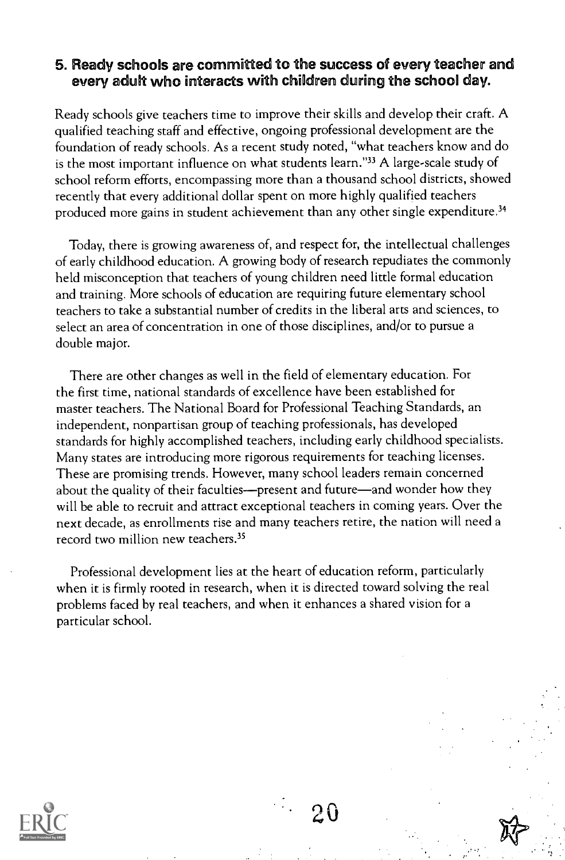#### 5. Ready schools are committed to the success of every teacher and every adult who interacts with children during the school day.

Ready schools give teachers time to improve their skills and develop their craft. A qualified teaching staff and effective, ongoing professional development are the foundation of ready schools. As a recent study noted, "what teachers know and do is the most important influence on what students learn."33 A large-scale study of school reform efforts, encompassing more than a thousand school districts, showed recently that every additional dollar spent on more highly qualified teachers produced more gains in student achievement than any other single expenditure.34

Today, there is growing awareness of, and respect for, the intellectual challenges of early childhood education. A growing body of research repudiates the commonly held misconception that teachers of young children need little formal education and training. More schools of education are requiring future elementary school teachers to take a substantial number of credits in the liberal arts and sciences, to select an area of concentration in one of those disciplines, and/or to pursue a double major.

There are other changes as well in the field of elementary education. For the first time, national standards of excellence have been established for master teachers. The National Board for Professional Teaching Standards, an independent, nonpartisan group of teaching professionals, has developed standards for highly accomplished teachers, including early childhood specialists. Many states are introducing more rigorous requirements for teaching licenses. These are promising trends. However, many school leaders remain concerned about the quality of their faculties---present and future--- and wonder how they will be able to recruit and attract exceptional teachers in coming years. Over the next decade, as enrollments rise and many teachers retire, the nation will need a record two million new teachers.<sup>35</sup>

Professional development lies at the heart of education reform, particularly when it is firmly rooted in research, when it is directed toward solving the real problems faced by real teachers, and when it enhances a shared vision for a particular school.



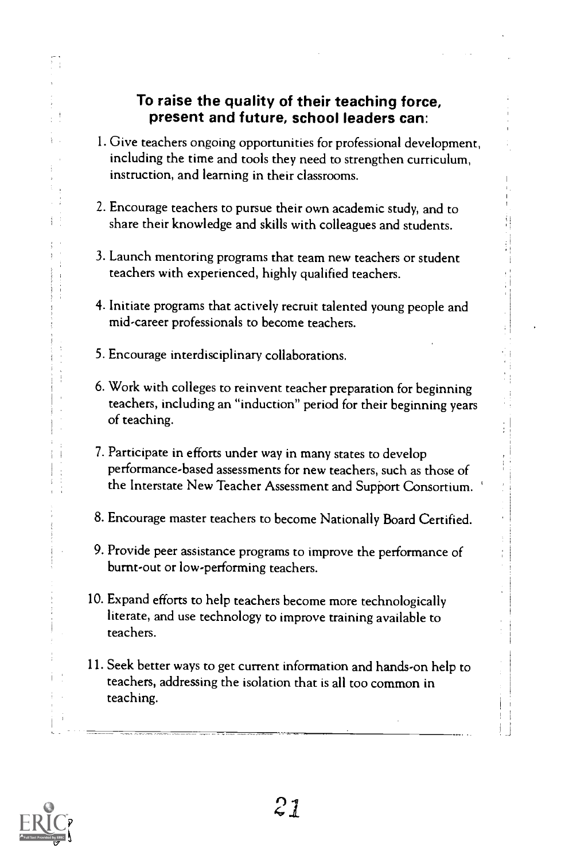#### To raise the quality of their teaching force, present and future, school leaders can:

- 1 Give teachers ongoing opportunities for professional development, including the time and tools they need to strengthen curriculum, instruction, and learning in their classrooms.
- 2. Encourage teachers to pursue their own academic study, and to share their knowledge and skills with colleagues and students.
- 3. Launch mentoring programs that team new teachers or student teachers with experienced, highly qualified teachers.
- 4. Initiate programs that actively recruit talented young people and mid-career professionals to become teachers.
- 5. Encourage interdisciplinary collaborations.
- 6. Work with colleges to reinvent teacher preparation for beginning teachers, including an "induction" period for their beginning years of teaching.
- 7. Participate in efforts under way in many states to develop performance-based assessments for new teachers, such as those of the Interstate New Teacher Assessment and Support Consortium.
- 8. Encourage master teachers to become Nationally Board Certified.
- 9. Provide peer assistance programs to improve the performance of burnt-out or low-performing teachers.
- 10. Expand efforts to help teachers become more technologically literate, and use technology to improve training available to teachers.
- 11. Seek better ways to get current information and hands-on help to teachers, addressing the isolation that is all too common in teaching.

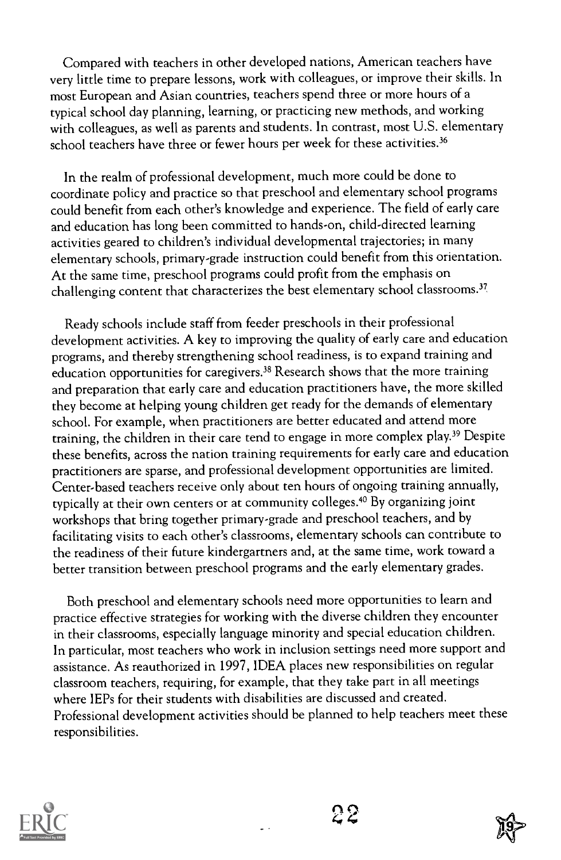Compared with teachers in other developed nations, American teachers have very little time to prepare lessons, work with colleagues, or improve their skills. In most European and Asian countries, teachers spend three or more hours of a typical school day planning, learning, or practicing new methods, and working with colleagues, as well as parents and students. In contrast, most U.S. elementary school teachers have three or fewer hours per week for these activities.<sup>36</sup>

In the realm of professional development, much more could be done to coordinate policy and practice so that preschool and elementary school programs could benefit from each other's knowledge and experience. The field of early care and education has long been committed to hands-on, child-directed learning activities geared to children's individual developmental trajectories; in many elementary schools, primary-grade instruction could benefit from this orientation. At the same time, preschool programs could profit from the emphasis on challenging content that characterizes the best elementary school classrooms.<sup>37</sup>

Ready schools include staff from feeder preschools in their professional development activities. A key to improving the quality of early care and education programs, and thereby strengthening school readiness, is to expand training and education opportunities for caregivers.38 Research shows that the more training and preparation that early care and education practitioners have, the more skilled they become at helping young children get ready for the demands of elementary school. For example, when practitioners are better educated and attend more training, the children in their care tend to engage in more complex play.39 Despite these benefits, across the nation training requirements for early care and education practitioners are sparse, and professional development opportunities are limited. Center-based teachers receive only about ten hours of ongoing training annually, typically at their own centers or at community colleges.40 By organizing joint workshops that bring together primary-grade and preschool teachers, and by facilitating visits to each other's classrooms, elementary schools can contribute to the readiness of their future kindergartners and, at the same time, work toward a better transition between preschool programs and the early elementary grades.

Both preschool and elementary schools need more opportunities to learn and practice effective strategies for working with the diverse children they encounter in their classrooms, especially language minority and special education children. In particular, most teachers who work in inclusion settings need more support and assistance. As reauthorized in 1997, IDEA places new responsibilities on regular classroom teachers, requiring, for example, that they take part in all meetings where IEPs for their students with disabilities are discussed and created. Professional development activities should be planned to help teachers meet these responsibilities.



22

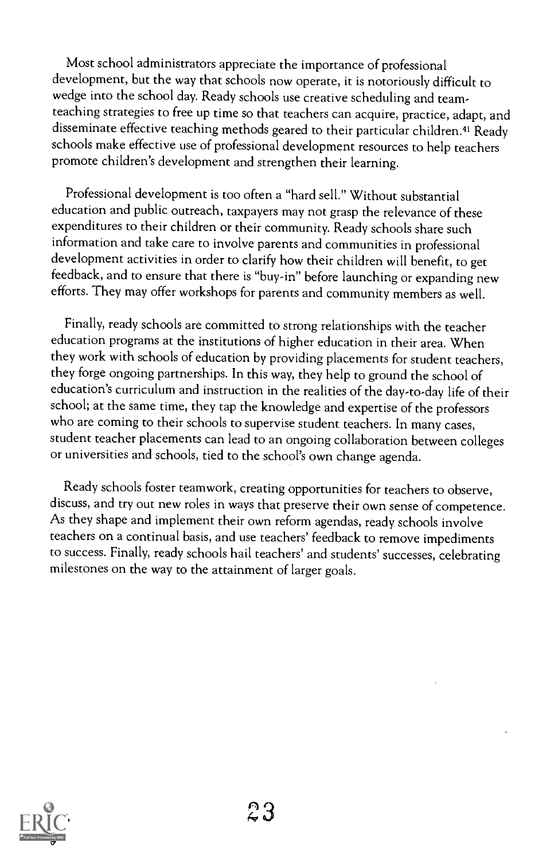Most school administrators appreciate the importance of professional development, but the way that schools now operate, it is notoriously difficult to wedge into the school day. Ready schools use creative scheduling and teamteaching strategies to free up time so that teachers can acquire, practice, adapt, and disseminate effective teaching methods geared to their particular children.<sup>41</sup> Ready schools make effective use of professional development resources to help teachers promote children's development and strengthen their learning.

Professional development is too often a "hard sell." Without substantial education and public outreach, taxpayers may not grasp the relevance of these expenditures to their children or their community. Ready schools share such information and take care to involve parents and communities in professional development activities in order to clarify how their children will benefit, to get feedback, and to ensure that there is "buy-in" before launching or expanding new efforts. They may offer workshops for parents and community members as well.

Finally, ready schools are committed to strong relationships with the teacher education programs at the institutions of higher education in their area. When they work with schools of education by providing placements for student teachers, they forge ongoing partnerships. In this way, they help to ground the school of education's curriculum and instruction in the realities of the day-to-day life of their school; at the same time, they tap the knowledge and expertise of the professors who are coming to their schools to supervise student teachers. In many cases, student teacher placements can lead to an ongoing collaboration between colleges or universities and schools, tied to the school's own change agenda.

Ready schools foster teamwork, creating opportunities for teachers to observe, discuss, and try out new roles in ways that preserve their own sense of competence. As they shape and implement their own reform agendas, ready schools involve teachers on a continual basis, and use teachers' feedback to remove impediments to success. Finally, ready schools hail teachers' and students' successes, celebrating milestones on the way to the attainment of larger goals.

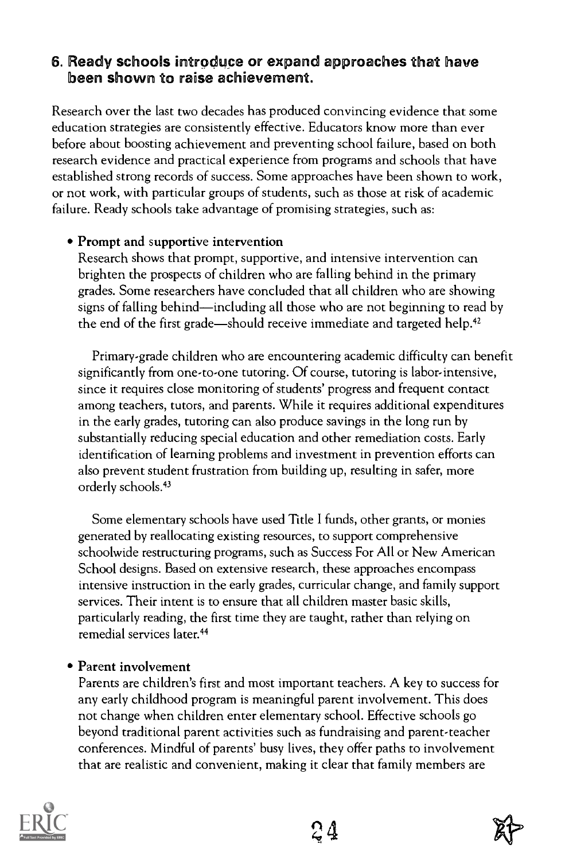#### 6. Ready schools introduce or expand approaches that have been shown to raise achievement.

Research over the last two decades has produced convincing evidence that some education strategies are consistently effective. Educators know more than ever before about boosting achievement and preventing school failure, based on both research evidence and practical experience from programs and schools that have established strong records of success. Some approaches have been shown to work, or not work, with particular groups of students, such as those at risk of academic failure. Ready schools take advantage of promising strategies, such as:

#### Prompt and supportive intervention

Research shows that prompt, supportive, and intensive intervention can brighten the prospects of children who are falling behind in the primary grades. Some researchers have concluded that all children who are showing signs of falling behind—including all those who are not beginning to read by the end of the first grade—should receive immediate and targeted help.<sup>42</sup>

Primary-grade children who are encountering academic difficulty can benefit significantly from one-to-one tutoring. Of course, tutoring is labor-intensive, since it requires close monitoring of students' progress and frequent contact among teachers, tutors, and parents. While it requires additional expenditures in the early grades, tutoring can also produce savings in the long run by substantially reducing special education and other remediation costs. Early identification of learning problems and investment in prevention efforts can also prevent student frustration from building up, resulting in safer, more orderly schools.43

Some elementary schools have used Title I funds, other grants, or monies generated by reallocating existing resources, to support comprehensive schoolwide restructuring programs, such as Success For All or New American School designs. Based on extensive research, these approaches encompass intensive instruction in the early grades, curricular change, and family support services. Their intent is to ensure that all children master basic skills, particularly reading, the first time they are taught, rather than relying on remedial services later.44

#### • Parent involvement

Parents are children's first and most important teachers. A key to success for any early childhood program is meaningful parent involvement. This does not change when children enter elementary school. Effective schools go beyond traditional parent activities such as fundraising and parent-teacher conferences. Mindful of parents' busy lives, they offer paths to involvement that are realistic and convenient, making it clear that family members are



24

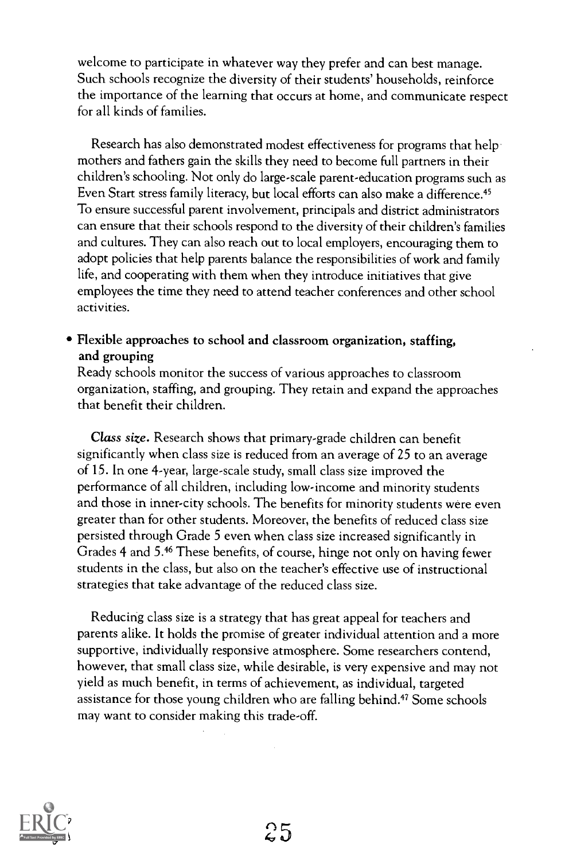welcome to participate in whatever way they prefer and can best manage. Such schools recognize the diversity of their students' households, reinforce the importance of the learning that occurs at home, and communicate respect for all kinds of families.

Research has also demonstrated modest effectiveness for programs that help mothers and fathers gain the skills they need to become full partners in their children's schooling. Not only do large-scale parent-education programs such as Even Start stress family literacy, but local efforts can also make a difference.<sup>45</sup> To ensure successful parent involvement, principals and district administrators can ensure that their schools respond to the diversity of their children's families and cultures. They can also reach out to local employers, encouraging them to adopt policies that help parents balance the responsibilities of work and family life, and cooperating with them when they introduce initiatives that give employees the time they need to attend teacher conferences and other school activities.

#### Flexible approaches to school and classroom organization, staffing, and grouping

Ready schools monitor the success of various approaches to classroom organization, staffing, and grouping. They retain and expand the approaches that benefit their children.

Class size. Research shows that primary-grade children can benefit significantly when class size is reduced from an average of 25 to an average of 15. In one 4-year, large-scale study, small class size improved the performance of all children, including low-income and minority students and those in inner-city schools. The benefits for minority students were even greater than for other students. Moreover, the benefits of reduced class size persisted through Grade 5 even when class size increased significantly in Grades 4 and 5.46 These benefits, of course, hinge not only on having fewer students in the class, but also on the teacher's effective use of instructional strategies that take advantage of the reduced class size.

Reducing class size is a strategy that has great appeal for teachers and parents alike. It holds the promise of greater individual attention and a more supportive, individually responsive atmosphere. Some researchers contend, however, that small class size, while desirable, is very expensive and may not yield as much benefit, in terms of achievement, as individual, targeted assistance for those young children who are falling behind.<sup>47</sup> Some schools may want to consider making this trade-off.



25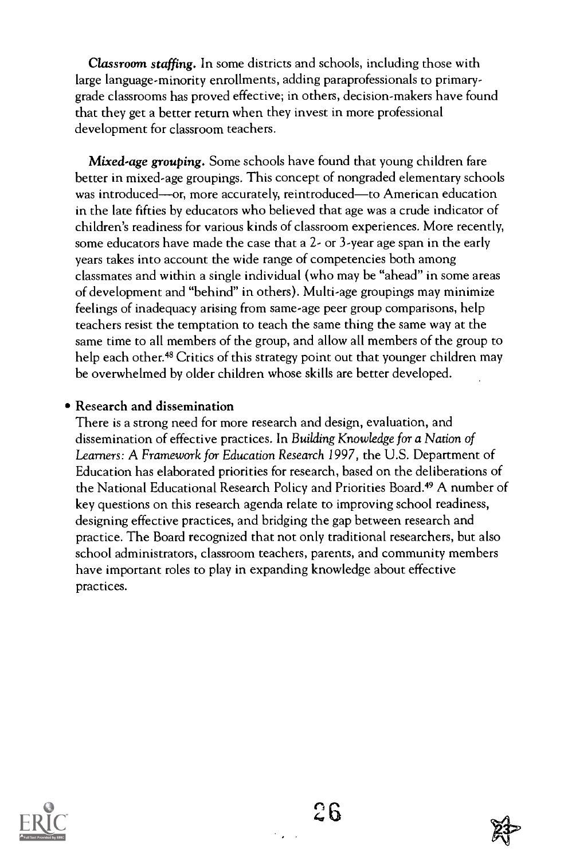Classroom staffing. In some districts and schools, including those with large language-minority enrollments, adding paraprofessionals to primarygrade classrooms has proved effective; in others, decision-makers have found that they get a better return when they invest in more professional development for classroom teachers.

Mixed-age grouping. Some schools have found that young children fare better in mixed-age groupings. This concept of nongraded elementary schools was introduced—or, more accurately, reintroduced—to American education in the late fifties by educators who believed that age was a crude indicator of children's readiness for various kinds of classroom experiences. More recently, some educators have made the case that a 2- or 3-year age span in the early years takes into account the wide range of competencies both among classmates and within a single individual (who may be "ahead" in some areas of development and "behind" in others). Multi-age groupings may minimize feelings of inadequacy arising from same-age peer group comparisons, help teachers resist the temptation to teach the same thing the same way at the same time to all members of the group, and allow all members of the group to help each other.<sup>48</sup> Critics of this strategy point out that younger children may be overwhelmed by older children whose skills are better developed.

#### Research and dissemination

There is a strong need for more research and design, evaluation, and dissemination of effective practices. In Building Knowledge for a Nation of Learners: A Framework for Education Research 1997, the U.S. Department of Education has elaborated priorities for research, based on the deliberations of the National Educational Research Policy and Priorities Board.<sup>49</sup> A number of key questions on this research agenda relate to improving school readiness, designing effective practices, and bridging the gap between research and practice. The Board recognized that not only traditional researchers, but also school administrators, classroom teachers, parents, and community members have important roles to play in expanding knowledge about effective practices.



 $26$ 

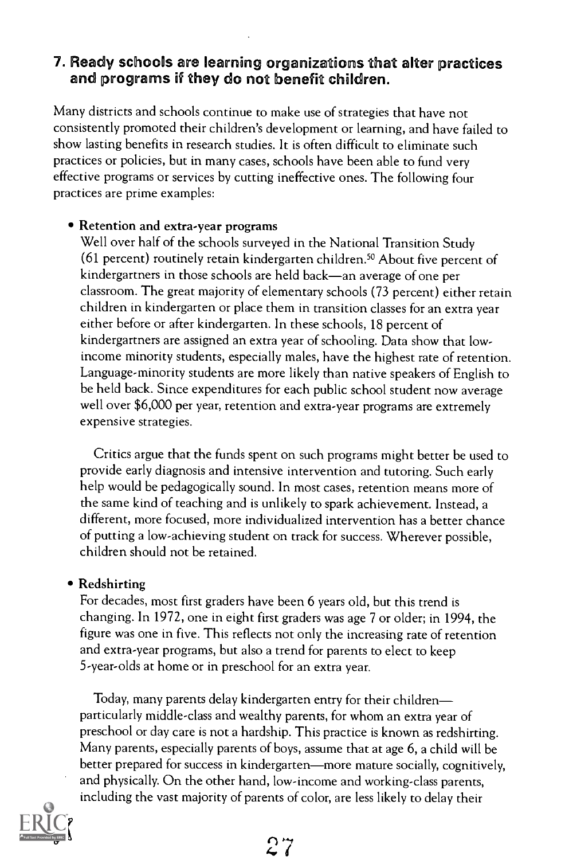#### 7. Ready schools are learning organizations that alter practices and programs if they do not benefit children.

Many districts and schools continue to make use of strategies that have not consistently promoted their children's development or learning, and have failed to show lasting benefits in research studies. It is often difficult to eliminate such practices or policies, but in many cases, schools have been able to fund very effective programs or services by cutting ineffective ones. The following four practices are prime examples:

#### Retention and extra-year programs

Well over half of the schools surveyed in the National Transition Study (61 percent) routinely retain kindergarten children." About five percent of kindergartners in those schools are held back—an average of one per classroom. The great majority of elementary schools (73 percent) either retain children in kindergarten or place them in transition classes for an extra year either before or after kindergarten. In these schools, 18 percent of kindergartners are assigned an extra year of schooling. Data show that lowincome minority students, especially males, have the highest rate of retention. Language-minority students are more likely than native speakers of English to be held back. Since expenditures for each public school student now average well over \$6,000 per year, retention and extra-year programs are extremely expensive strategies.

Critics argue that the funds spent on such programs might better be used to provide early diagnosis and intensive intervention and tutoring. Such early help would be pedagogically sound. In most cases, retention means more of the same kind of teaching and is unlikely to spark achievement. Instead, a different, more focused, more individualized intervention has a better chance of putting a low-achieving student on track for success. Wherever possible, children should not be retained.

#### • Redshirting

For decades, most first graders have been 6 years old, but this trend is changing. In 1972, one in eight first graders was age 7 or older; in 1994, the figure was one in five. This reflects not only the increasing rate of retention and extra-year programs, but also a trend for parents to elect to keep 5-year-olds at home or in preschool for an extra year.

Today, many parents delay kindergarten entry for their children particularly middle-class and wealthy parents, for whom an extra year of preschool or day care is not a hardship. This practice is known as redshirting. Many parents, especially parents of boys, assume that at age 6, a child will be better prepared for success in kindergarten—more mature socially, cognitively, and physically. On the other hand, low-income and working-class parents, including the vast majority of parents of color, are less likely to delay their

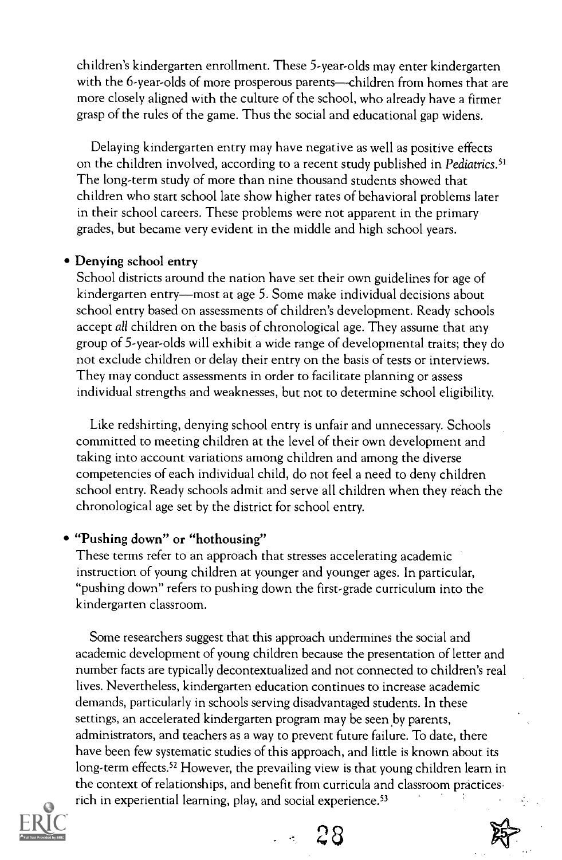children's kindergarten enrollment. These 5-year-olds may enter kindergarten with the 6-year-olds of more prosperous parents—children from homes that are more closely aligned with the culture of the school, who already have a firmer grasp of the rules of the game. Thus the social and educational gap widens.

Delaying kindergarten entry may have negative as well as positive effects on the children involved, according to a recent study published in Pediatrics.<sup>51</sup> The long-term study of more than nine thousand students showed that children who start school late show higher rates of behavioral problems later in their school careers. These problems were not apparent in the primary grades, but became very evident in the middle and high school years.

#### Denying school entry

School districts around the nation have set their own guidelines for age of kindergarten entry—most at age 5. Some make individual decisions about school entry based on assessments of children's development. Ready schools accept all children on the basis of chronological age. They assume that any group of 5-year-olds will exhibit a wide range of developmental traits; they do not exclude children or delay their entry on the basis of tests or interviews. They may conduct assessments in order to facilitate planning or assess individual strengths and weaknesses, but not to determine school eligibility.

Like redshirting, denying school entry is unfair and unnecessary. Schools committed to meeting children at the level of their own development and taking into account variations among children and among the diverse competencies of each individual child, do not feel a need to deny children school entry. Ready schools admit and serve all children when they reach the chronological age set by the district for school entry.

#### "Pushing down" or "hothousing"

These terms refer to an approach that stresses accelerating academic instruction of young children at younger and younger ages. In particular, "pushing down" refers to pushing down the first-grade curriculum into the kindergarten classroom.

Some researchers suggest that this approach undermines the social and academic development of young children because the presentation of letter and number facts are typically decontextualized and not connected to children's real lives. Nevertheless, kindergarten education continues to increase academic demands, particularly in schools serving disadvantaged students. In these settings, an accelerated kindergarten program may be seen by parents, administrators, and teachers as a way to prevent future failure. To date, there have been few systematic studies of this approach, and little is known about its long-term effects.<sup>52</sup> However, the prevailing view is that young children learn in the context of relationships, and benefit from curricula and classroom practices rich in experiential learning, play, and social experience.<sup>53</sup>



Ar r) 8

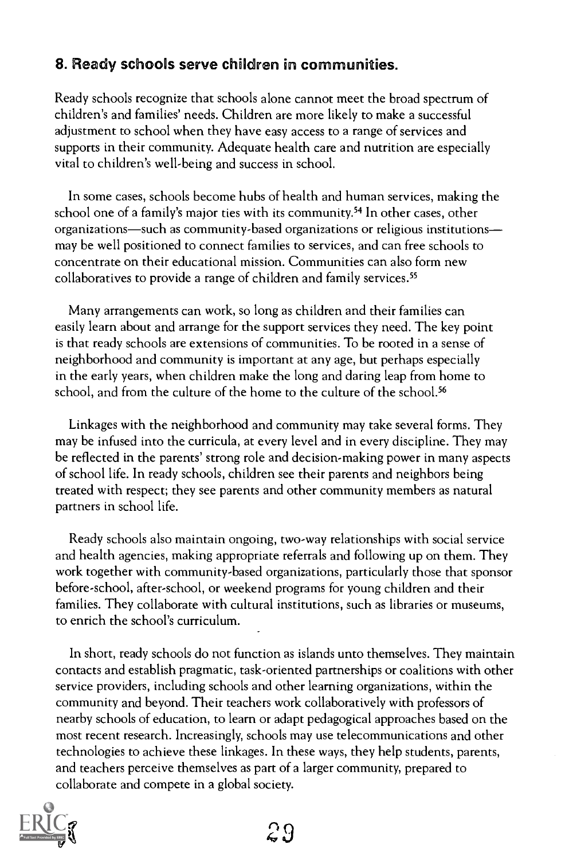#### 8. Ready schools serve children in communities.

Ready schools recognize that schools alone cannot meet the broad spectrum of children's and families' needs. Children are more likely to make a successful adjustment to school when they have easy access to a range of services and supports in their community. Adequate health care and nutrition are especially vital to children's well-being and success in school.

In some cases, schools become hubs of health and human services, making the school one of a family's major ties with its community.<sup>54</sup> In other cases, other organizations—such as community-based organizations or religious institutions may be well positioned to connect families to services, and can free schools to concentrate on their educational mission. Communities can also form new collaboratives to provide a range of children and family services.<sup>55</sup>

Many arrangements can work, so long as children and their families can easily learn about and arrange for the support services they need. The key point is that ready schools are extensions of communities. To be rooted in a sense of neighborhood and community is important at any age, but perhaps especially in the early years, when children make the long and daring leap from home to school, and from the culture of the home to the culture of the school.<sup>56</sup>

Linkages with the neighborhood and community may take several forms. They may be infused into the curricula, at every level and in every discipline. They may be reflected in the parents' strong role and decision-making power in many aspects of school life. In ready schools, children see their parents and neighbors being treated with respect; they see parents and other community members as natural partners in school life.

Ready schools also maintain ongoing, two-way relationships with social service and health agencies, making appropriate referrals and following up on them. They work together with community-based organizations, particularly those that sponsor before-school, after-school, or weekend programs for young children and their families. They collaborate with cultural institutions, such as libraries or museums, to enrich the school's curriculum.

In short, ready schools do not function as islands unto themselves. They maintain contacts and establish pragmatic, task-oriented partnerships or coalitions with other service providers, including schools and other learning organizations, within the community and beyond. Their teachers work collaboratively with professors of nearby schools of education, to learn or adapt pedagogical approaches based on the most recent research. Increasingly, schools may use telecommunications and other technologies to achieve these linkages. In these ways, they help students, parents, and teachers perceive themselves as part of a larger community, prepared to collaborate and compete in a global society.

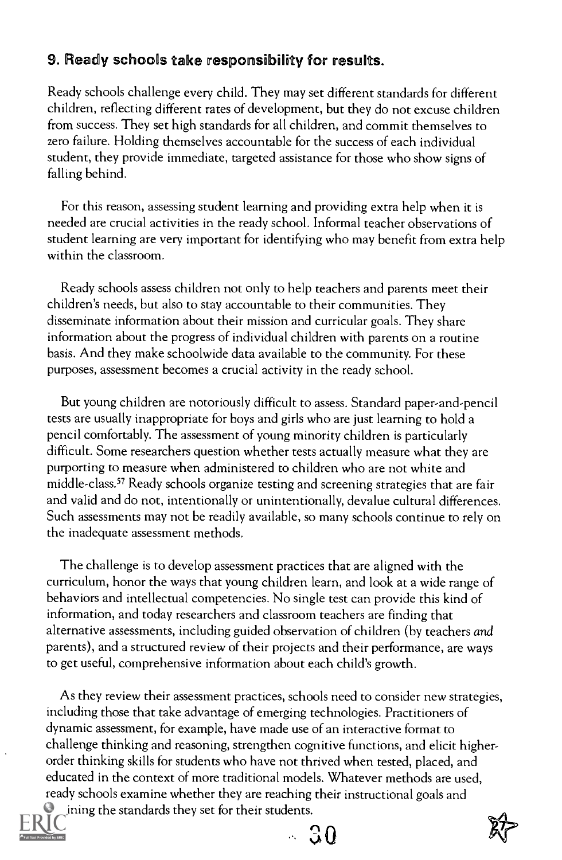#### 9. Ready schools take responsibility for results.

Ready schools challenge every child. They may set different standards for different children, reflecting different rates of development, but they do not excuse children from success. They set high standards for all children, and commit themselves to zero failure. Holding themselves accountable for the success of each individual student, they provide immediate, targeted assistance for those who show signs of falling behind.

For this reason, assessing student learning and providing extra help when it is needed are crucial activities in the ready school. Informal teacher observations of student learning are very important for identifying who may benefit from extra help within the classroom.

Ready schools assess children not only to help teachers and parents meet their children's needs, but also to stay accountable to their communities. They disseminate information about their mission and curricular goals. They share information about the progress of individual children with parents on a routine basis. And they make schoolwide data available to the community. For these purposes, assessment becomes a crucial activity in the ready school.

But young children are notoriously difficult to assess. Standard paper-and-pencil tests are usually inappropriate for boys and girls who are just learning to hold a pencil comfortably. The assessment of young minority children is particularly difficult. Some researchers question whether tests actually measure what they are purporting to measure when administered to children who are not white and middle-class.57 Ready schools organize testing and screening strategies that are fair and valid and do not, intentionally or unintentionally, devalue cultural differences. Such assessments may not be readily available, so many schools continue to rely on the inadequate assessment methods.

The challenge is to develop assessment practices that are aligned with the curriculum, honor the ways that young children learn, and look at a wide range of behaviors and intellectual competencies. No single test can provide this kind of information, and today researchers and classroom teachers are finding that alternative assessments, including guided observation of children (by teachers and parents), and a structured review of their projects and their performance, are ways to get useful, comprehensive information about each child's growth.

As they review their assessment practices, schools need to consider new strategies, including those that take advantage of emerging technologies. Practitioners of dynamic assessment, for example, have made use of an interactive format to challenge thinking and reasoning, strengthen cognitive functions, and elicit higherorder thinking skills for students who have not thrived when tested, placed, and educated in the context of more traditional models. Whatever methods are used, ready schools examine whether they are reaching their instructional goals and

 $\blacksquare$  ining the standards they set for their students.

 $-30$ 

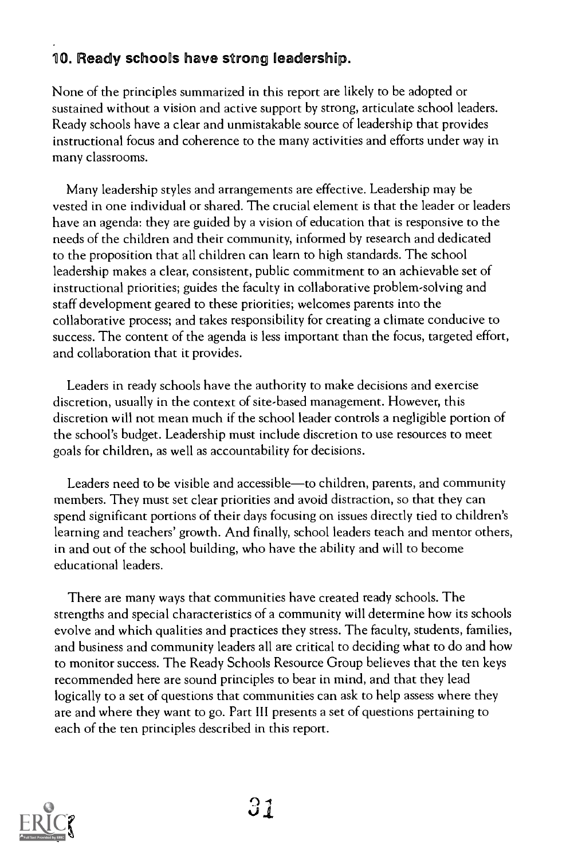#### 10. Ready schools have strong leadership.

None of the principles summarized in this report are likely to be adopted or sustained without a vision and active support by strong, articulate school leaders. Ready schools have a clear and unmistakable source of leadership that provides instructional focus and coherence to the many activities and efforts under way in many classrooms.

Many leadership styles and arrangements are effective. Leadership may be vested in one individual or shared. The crucial element is that the leader or leaders have an agenda: they are guided by a vision of education that is responsive to the needs of the children and their community, informed by research and dedicated to the proposition that all children can learn to high standards. The school leadership makes a clear, consistent, public commitment to an achievable set of instructional priorities; guides the faculty in collaborative problem-solving and staff development geared to these priorities; welcomes parents into the collaborative process; and takes responsibility for creating a climate conducive to success. The content of the agenda is less important than the focus, targeted effort, and collaboration that it provides.

Leaders in ready schools have the authority to make decisions and exercise discretion, usually in the context of site-based management. However, this discretion will not mean much if the school leader controls a negligible portion of the school's budget. Leadership must include discretion to use resources to meet goals for children, as well as accountability for decisions.

Leaders need to be visible and accessible-to children, parents, and community members. They must set clear priorities and avoid distraction, so that they can spend significant portions of their days focusing on issues directly tied to children's learning and teachers' growth. And finally, school leaders teach and mentor others, in and out of the school building, who have the ability and will to become educational leaders.

There are many ways that communities have created ready schools. The strengths and special characteristics of a community will determine how its schools evolve and which qualities and practices they stress. The faculty, students, families, and business and community leaders all are critical to deciding what to do and how to monitor success. The Ready Schools Resource Group believes that the ten keys recommended here are sound principles to bear in mind, and that they lead logically to a set of questions that communities can ask to help assess where they are and where they want to go. Part III presents a set of questions pertaining to each of the ten principles described in this report.

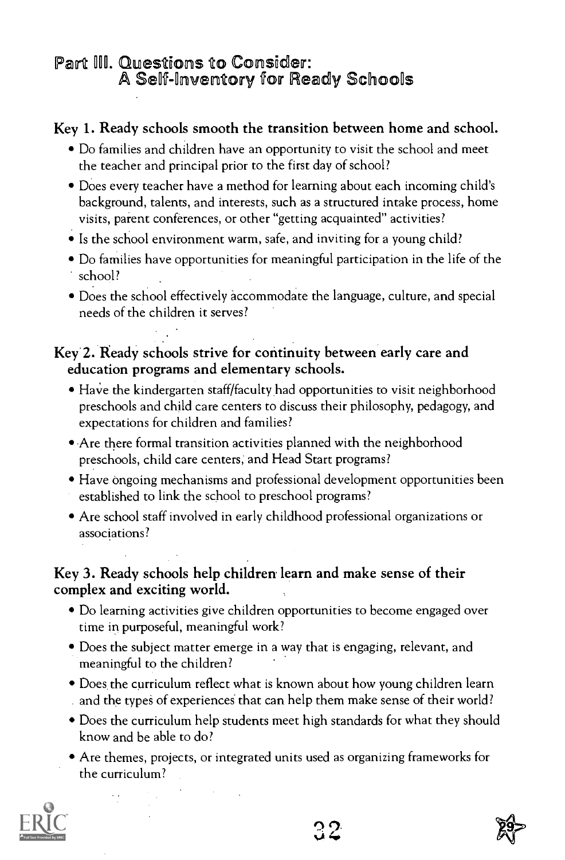## Part III. Questions to Consider:<br>A Self-Inventory for Ready Schools

#### Key 1. Ready schools smooth the transition between home and school.

- Do families and children have an opportunity to visit the school and meet the teacher and principal prior to the first day of school?
- Does every teacher have a method for learning about each incoming child's background, talents, and interests, such as a structured intake process, home visits, parent conferences, or other "getting acquainted" activities?
- Is the school environment warm, safe, and inviting for a young child?
- Do families have opportunities for meaningful participation in the life of the school?
- Does the school effectively accommodate the language, culture, and special needs of the children it serves?

#### Key 2. Ready schools strive for continuity between early care and education programs and elementary schools.

- Have the kindergarten staff/faculty had opportunities to visit neighborhood preschools and child care centers to discuss their philosophy, pedagogy, and expectations for children and families?
- Are there formal transition activities planned with the neighborhood preschools, child care centers; and Head Start programs?
- Have ongoing mechanisms and professional development opportunities been established to link the school to preschool programs?
- Are school staff involved in early childhood professional organizations or associations?

#### Key 3. Ready schools help children learn and make sense of their complex and exciting world.

- Do learning activities give children opportunities to become engaged over time in purposeful, meaningful work?
- Does the subject matter emerge in a way that is engaging, relevant, and meaningful to the children?
- Does the curriculum reflect what is known about how young children learn and the types of experiences that can help them make sense of their world?
- Does the curriculum help students meet high standards for what they should know and be able to do?
- Are themes, projects, or integrated units used as organizing frameworks for the curriculum?



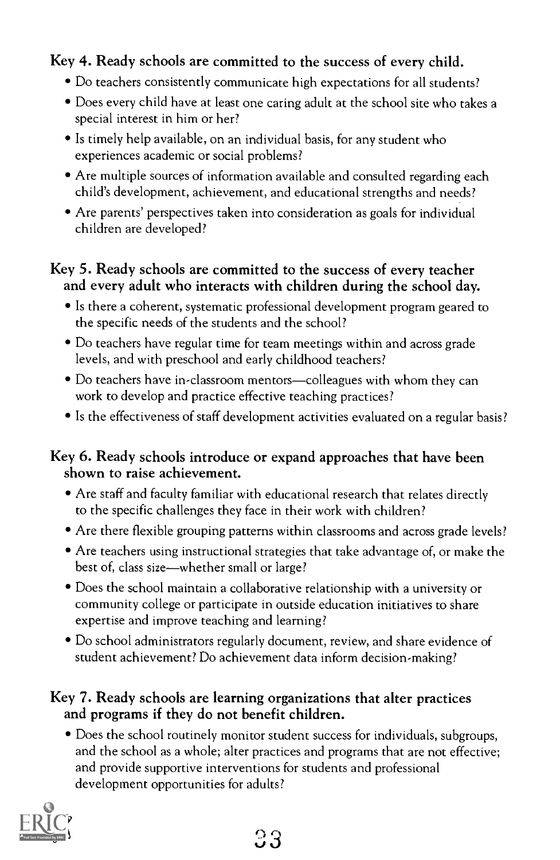#### Key 4. Ready schools are committed to the success of every child.

- Do teachers consistently communicate high expectations for all students?
- Does every child have at least one caring adult at the school site who takes a special interest in him or her?
- Is timely help available, on an individual basis, for any student who experiences academic or social problems?
- Are multiple sources of information available and consulted regarding each child's development, achievement, and educational strengths and needs?
- Are parents' perspectives taken into consideration as goals for individual children are developed?

#### Key 5. Ready schools are committed to the success of every teacher and every adult who interacts with children during the school day.

- Is there a coherent, systematic professional development program geared to the specific needs of the students and the school?
- Do teachers have regular time for team meetings within and across grade levels, and with preschool and early childhood teachers?
- Do teachers have in-classroom mentors—colleagues with whom they can work to develop and practice effective teaching practices?
- Is the effectiveness of staff development activities evaluated on a regular basis?

#### Key 6. Ready schools introduce or expand approaches that have been shown to raise achievement.

- Are staff and faculty familiar with educational research that relates directly to the specific challenges they face in their work with children?
- Are there flexible grouping patterns within classrooms and across grade levels?
- Are teachers using instructional strategies that take advantage of, or make the best of, class size—whether small or large?
- Does the school maintain a collaborative relationship with a university or community college or participate in outside education initiatives to share expertise and improve teaching and learning?
- Do school administrators regularly document, review, and share evidence of student achievement? Do achievement data inform decision-making?

#### Key 7. Ready schools are learning organizations that alter practices and programs if they do not benefit children.

Does the school routinely monitor student success for individuals, subgroups, and the school as a whole; alter practices and programs that are not effective; and provide supportive interventions for students and professional development opportunities for adults?

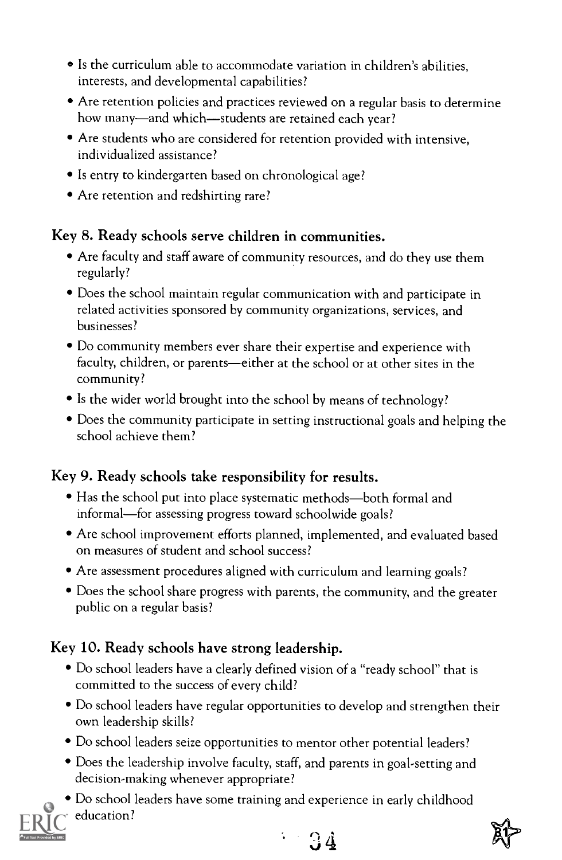- Is the curriculum able to accommodate variation in children's abilities, interests, and developmental capabilities?
- Are retention policies and practices reviewed on a regular basis to determine how many-and which-students are retained each year?
- Are students who are considered for retention provided with intensive, individualized assistance?
- Is entry to kindergarten based on chronological age?
- Are retention and redshirting rare?

#### Key 8. Ready schools serve children in communities.

- Are faculty and staff aware of community resources, and do they use them regularly?
- Does the school maintain regular communication with and participate in related activities sponsored by community organizations, services, and businesses?
- Do community members ever share their expertise and experience with faculty, children, or parents-either at the school or at other sites in the community?
- Is the wider world brought into the school by means of technology?
- Does the community participate in setting instructional goals and helping the school achieve them?

#### Key 9. Ready schools take responsibility for results.

- Has the school put into place systematic methods—both formal and informal—for assessing progress toward schoolwide goals?
- Are school improvement efforts planned, implemented, and evaluated based on measures of student and school success?
- Are assessment procedures aligned with curriculum and learning goals?
- Does the school share progress with parents, the community, and the greater public on a regular basis?

#### Key 10. Ready schools have strong leadership.

- Do school leaders have a clearly defined vision of a "ready school" that is committed to the success of every child?
- Do school leaders have regular opportunities to develop and strengthen their own leadership skills?
- Do school leaders seize opportunities to mentor other potential leaders?
- Does the leadership involve faculty, staff, and parents in goal-setting and decision-making whenever appropriate?
- Do school leaders have some training and experience in early childhood education?





 $-34$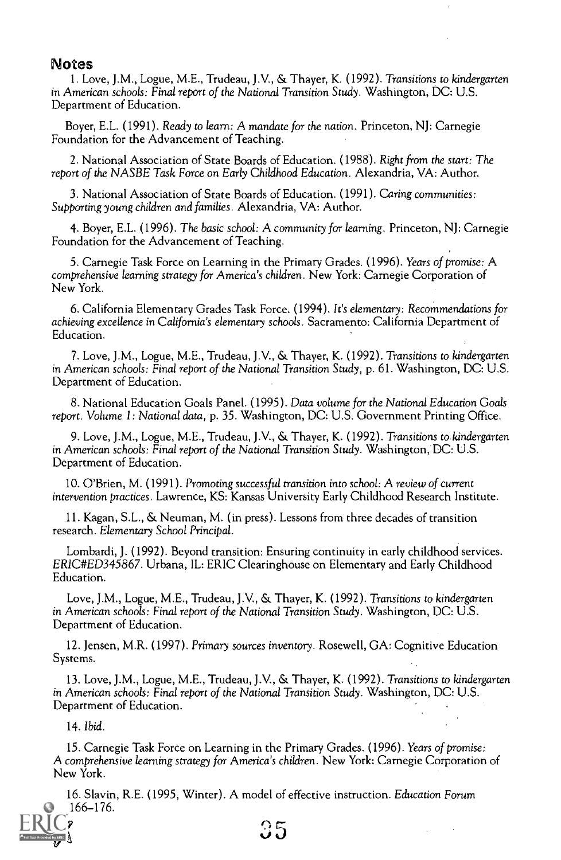#### Notes

1. Love, J.M., Logue, M.E., Trudeau, J.V., & Thayer, K. (1992). Transitions to kindergarten in American schools: Final report of the National Transition Study. Washington, DC: U.S. Department of Education.

Boyer, E.L. (1991). Ready to learn: A mandate for the nation. Princeton, NJ: Carnegie Foundation for the Advancement of Teaching.

2. National Association of State Boards of Education. (1988). Right from the start: The report of the NASBE Task Force on Early Childhood Education. Alexandria, VA: Author.

3. National Association of State Boards of Education. (1991). Caring communities: Supporting young children and families. Alexandria, VA: Author.

4. Boyer, E.L. (1996). The basic school: A community for learning. Princeton, NJ: Carnegie Foundation for the Advancement of Teaching.

5. Carnegie Task Force on Learning in the Primary Grades. (1996). Years of promise: A comprehensive learning strategy for America's children. New York: Carnegie Corporation of New York.

6. California Elementary Grades Task Force. (1994). It's elementary: Recommendations for achieving excellence in California's elementary schools. Sacramento: California Department of Education.

7. Love, J.M., Logue, M.E., Trudeau, J.V., & Thayer, K. (1992). Transitions to kindergarten in American schools: Final report of the National Transition Study, p. 61. Washington, DC: U.S. Department of Education.

8. National Education Goals Panel. (1995). Data volume for the National Education Goals report. Volume 1: National data, p. 35. Washington, DC: U.S. Government Printing Office.

9. Love, J.M., Logue, M.E., Trudeau, J.V., & Thayer, K. (1992). Transitions to kindergarten in American schools: Final report of the National Transition Study. Washington, DC: U.S. Department of Education.

10. O'Brien, M. (1991). Promoting successful transition into school: A review of current intervention practices. Lawrence, KS: Kansas University Early Childhood Research Institute.

11. Kagan, S.L., & Neuman, M. (in press). Lessons from three decades of transition research. Elementary School Principal.

Lombardi, J. (1992). Beyond transition: Ensuring continuity in early childhood services. ERIC#ED345867. Urbana, IL: ERIC Clearinghouse on Elementary and Early Childhood Education.

Love, J.M., Logue, M.E., Trudeau, J.V., & Thayer, K. (1992). Transitions to kindergarten in American schools: Final report of the National Transition Study. Washington, DC: U.S. Department of Education.

12. Jensen, M.R. (1997). Primary sources inventory. Rosewell, GA: Cognitive Education Systems.

13. Love, J.M., Logue, M.E., Trudeau, J.V., & Thayer, K. (1992). Transitions to kindergarten in American schools: Final report of the National Transition Study. Washington, DC: U.S. Department of Education.

14. Ibid.

15. Carnegie Task Force on Learning in the Primary Grades. (1996). Years of promise: A comprehensive learning strategy for America's children. New York: Carnegie Corporation of New York.

5

16. Slavin, R.E. (1995, Winter). A model of effective instruction. Education Forum 59:166-176.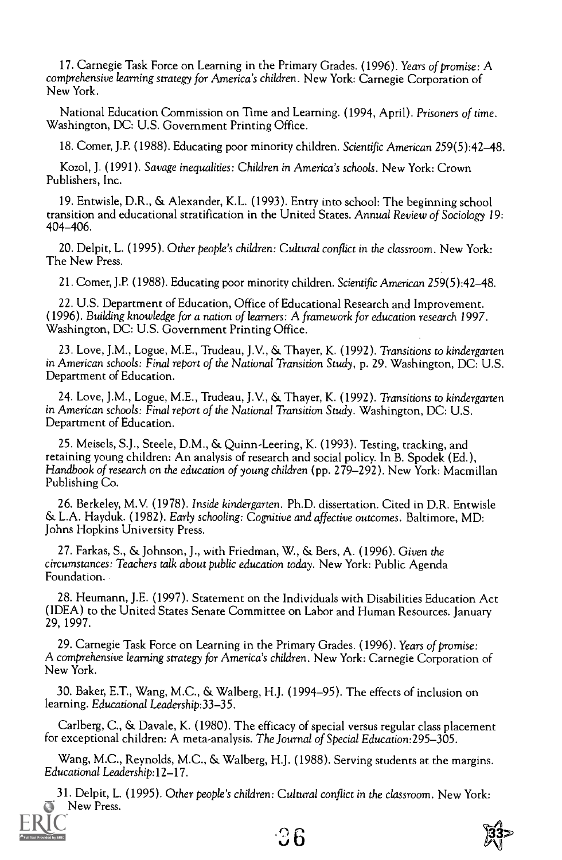17. Carnegie Task Force on Learning in the Primary Grades. (1996). Years of promise: A comprehensive learning strategy for America's children. New York: Carnegie Corporation of New York.

National Education Commission on Time and Learning. (1994, April). Prisoners of time. Washington, DC: U.S. Government Printing Office.

18. Comer, J.P. (1988). Educating poor minority children. Scientific American 259(5):42-48.

Kozol, J. (1991). Savage inequalities: Children in America's schools. New York: Crown Publishers, Inc.

19. Entwisle, D.R., & Alexander, K.L. (1993). Entry into school: The beginning school transition and educational stratification in the United States. Annual Review of Sociology 19: 404-406.

20. Delpit, L. (1995). Other people's children: Cultural conflict in the classroom. New York: The New Press.

21. Corner, J.P. (1988). Educating poor minority children. Scientific American 259(5):42-48.

22. U.S. Department of Education, Office of Educational Research and Improvement. (1996). Building knowledge for a nation of learners: A framework for education research 1997. Washington, DC: U.S. Government Printing Office.

23. Love, J.M., Logue, M.E., Trudeau, J.V., & Thayer, K. (1992). Transitions to kindergarten in American schools: Final report of the National Transition Study, p. 29. Washington, DC: U.S. Department of Education.

24. Love, J.M., Logue, M.E., Trudeau, J.V., & Thayer, K. (1992). Transitions to kindergarten in American schools: Final report of the National Transition Study. Washington, DC: U.S. Department of Education.

25. Meisels, S.J., Steele, D.M., & Quinn-Leering, K. (1993). Testing, tracking, and retaining young children: An analysis of research and social policy. In B. Spodek (Ed.), Handbook of research on the education of young children (pp. 279-292). New York: Macmillan Publishing Co.

26. Berkeley, M.V. (1978). Inside kindergarten. Ph.D. dissertation. Cited in D.R. Entwisle & L.A. Hayduk. (1982). Early schooling: Cognitive and affective outcomes. Baltimore, MD: Johns Hopkins University Press.

27. Farkas, S., & Johnson, J., with Friedman, W., & Bers, A. (1996). Given the circumstances: Teachers talk about public education today. New York: Public Agenda Foundation.

28. Heumann, J.E. (1997). Statement on the Individuals with Disabilities Education Act (IDEA) to the United States Senate Committee on Labor and Human Resources. January 29,1997.

29. Carnegie Task Force on Learning in the Primary Grades. (1996). Years of promise: A comprehensive learning strategy for America's children. New York: Carnegie Corporation of New York.

30. Baker, E.T., Wang, M.C., & Walberg, H.J. (1994-95). The effects of inclusion on learning. Educational Leadership:33-35.

Carlberg, C., & Davale, K. (1980). The efficacy of special versus regular class placement for exceptional children: A meta-analysis. The Journal of Special Education:295-305.

Wang, M.C., Reynolds, M.C., & Walberg, H.J. (1988). Serving students at the margins. Educational Leadership:12-17.

31. Delpit, L. (1995). Other people's children: Cultural conflict in the classroom. New York: New Press.

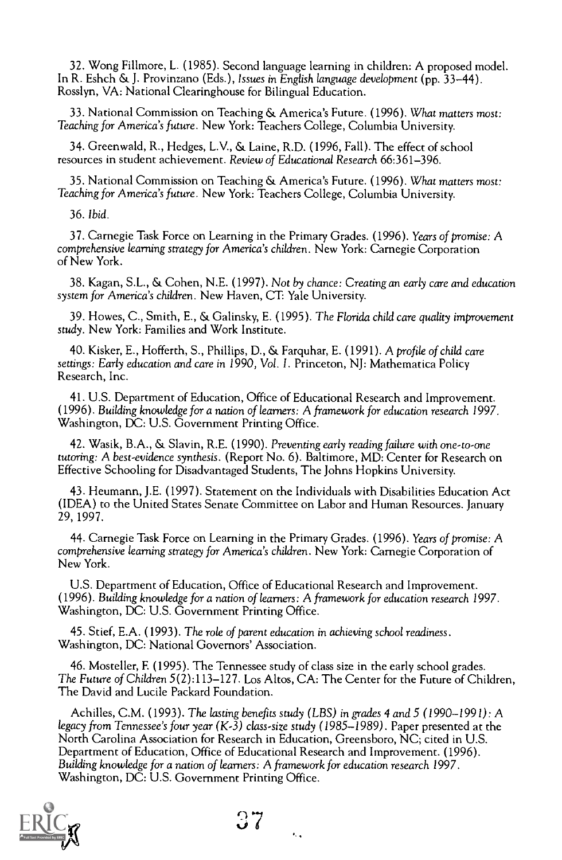32. Wong Fillmore, L. (1985). Second language learning in children: A proposed model. In R. Eshch & J. Provinzano (Eds.), Issues in English language development (pp. 33-44). Rosslyn, VA: National Clearinghouse for Bilingual Education.

33. National Commission on Teaching & America's Future. (1996). What matters most: Teaching for America's future. New York: Teachers College, Columbia University.

34. Greenwald, R., Hedges, L.V., & Larne, R.D. (1996, Fall). The effect of school resources in student achievement. Review of Educational Research 66:361-396.

35. National Commission on Teaching & America's Future. (1996). What matters most: Teaching for America's future. New York: Teachers College, Columbia University.

36. Ibid.

37. Carnegie Task Force on Learning in the Primary Grades. (1996). Years of promise: A comprehensive learning strategy for America's children. New York: Carnegie Corporation of New York.

38. Kagan, S.L., & Cohen, N.E. (1997). Not by chance: Creating an early care and education system for America's children. New Haven, CT: Yale University.

39. Howes, C., Smith, E., & Galinsky, E. (1995). The Florida child care quality improvement study. New York: Families and Work Institute.

40. Kisker, E., Hofferth, S., Phillips, D., & Farquhar, E. (1991). A profile of child care settings: Early education and care in 1990, Vol. 1. Princeton, NJ: Mathematica Policy Research, Inc.

41. U.S. Department of Education, Office of Educational Research and Improvement. (1996). Building knowledge for a nation of learners: A framework for education research 1997. Washington, DC: U.S. Government Printing Office.

42. Wasik, B.A., & Slavin, R.E. (1990). Preventing early reading failure with one-to-one tutoring: A best-evidence synthesis. (Report No. 6). Baltimore, MD: Center for Research on Effective Schooling for Disadvantaged Students, The Johns Hopkins University.

43. Heumann, J.E. (1997). Statement on the Individuals with Disabilities Education Act (IDEA) to the United States Senate Committee on Labor and Human Resources. January 29,1997.

44. Carnegie Task Force on Learning in the Primary Grades. (1996). Years of promise: A comprehensive learning strategy for America's children. New York: Carnegie Corporation of New York.

U.S. Department of Education, Office of Educational Research and Improvement. (1996). Building knowledge for a nation of learners: A framework for education research 1 997. Washington, DC: U.S. Government Printing Office.

45. Stief, E.A. (1993). The role of parent education in achieving school readiness. Washington, DC: National Governors' Association.

46. Mosteller, F. (1995). The Tennessee study of class size in the early school grades. The Future of Children 5(2):113-127. Los Altos, CA: The Center for the Future of Children, The David and Lucile Packard Foundation.

Achilles, C.M. (1993). The lasting benefits study (LBS) in grades 4 and 5 (1990-1991): A legacy from Tennessee's four year (K-3) class-size study (1985-1989). Paper presented at the North Carolina Association for Research in Education, Greensboro, NC; cited in U.S. Department of Education, Office of Educational Research and Improvement. (1996). Building knowledge for a nation of learners: A framework for education research 1997. Washington, DC: U.S. Government Printing Office.

 $\epsilon_{\rm{c}}$ 

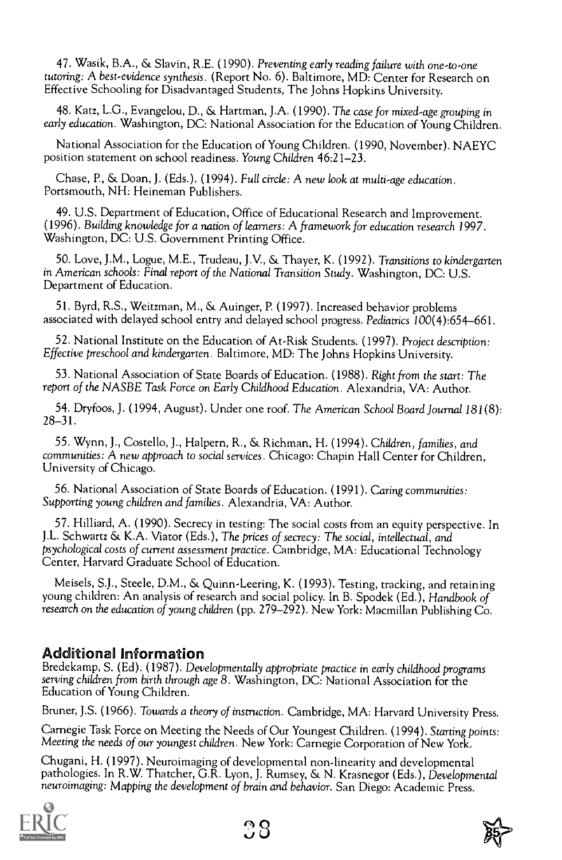47. Wasik, B.A., & Slavin, R.E. (1990). Preventing early reading failure with one-to-one tutoring: A best-evidence synthesis. (Report No. 6). Baltimore, MD: Center for Research on Effective Schooling for Disadvantaged Students, The Johns Hopkins University.

48. Katz, L.G., Evangelou, D., & Hartman, J.A. (1990). The case for mixed-age grouping in early education. Washington, DC: National Association for the Education of Young Children.

National Association for the Education of Young Children. (1990, November). NAEYC position statement on school readiness. Young Children 46:21-23.

Chase, P., & Doan, J. (Eds.). (1994). Full circle: A new look at multi-age education. Portsmouth, NH: Heineman Publishers.

49. U.S. Department of Education, Office of Educational Research and Improvement. (1996). Building knowledge for a nation of learners: A framework for education research 1997. Washington, DC: U.S. Government Printing Office.

50. Love, ).M., Logue, M.E., Trudeau, J.V., & Thayer, K. (1992). Transitions to kindergarten in American schools: Final report of the National Transition Study. Washington, DC: U.S. Department of Education.

51. Byrd, R.S., Weitzman, M., & Auinger, P. (1997). Increased behavior problems associated with delayed school entry and delayed school progress. Pediatrics 100(4):654-661.

52. National Institute on the Education of At-Risk Students. (1997). Project description: Effective preschool and kindergarten. Baltimore, MD: The Johns Hopkins University.

53. National Association of State Boards of Education. (1988). Right from the start: The report of the NASBE Task Force on Early Childhood Education. Alexandria, VA: Author.

54. Dryfoos, J. (1994, August). Under one roof. The American School Board Journal 181(8): 28-31.

55. Wynn, J., Costello, J., Halpern, R., & Richman, H. (1994). Children, families, and communities: A new approach to social services. Chicago: Chapin Hall Center for Children, University of Chicago.

56. National Association of State Boards of Education. (1991). Caring communities: Supporting young children and families. Alexandria, VA: Author.

57. Hilliard, A. (1990). Secrecy in testing: The social costs from an equity perspective. In J.L. Schwartz & K.A. Viator (Eds.), The prices of secrecy: The social, intellectual, and psychological costs of current assessment practice. Cambridge, MA: Educational Technology Center, Harvard Graduate School of Education.

Meisels, S.J., Steele, D.M., & Quinn-Leering, K. (1993). Testing, tracking, and retaining young children: An analysis of research and social policy. In B. Spodek (Ed.), Handbook of research on the education of young children (pp. 279-292). New York: Macmillan Publishing Co.

#### Additional Information

Bredekamp, S. (Ed). (1987). Developmentally appropriate practice in early childhood programs serving children from birth through age 8. Washington, DC: National Association for the Education of Young Children.

Bruner, J.S. (1966). Towards a theory of instruction. Cambridge, MA: Harvard University Press.

Carnegie Task Force on Meeting the Needs of Our Youngest Children. (1994). Starting points: Meeting the needs of our youngest children. New York: Carnegie Corporation of New York.

Chugani, H. (1997). Neuroimaging of developmental non-linearity and developmental pathologies. In R.W. Thatcher, G.R. Lyon, J. Rumsey, & N. Krasnegor (Eds.), Developmental neuroimaging: Mapping the development of brain and behavior. San Diego: Academic Press.



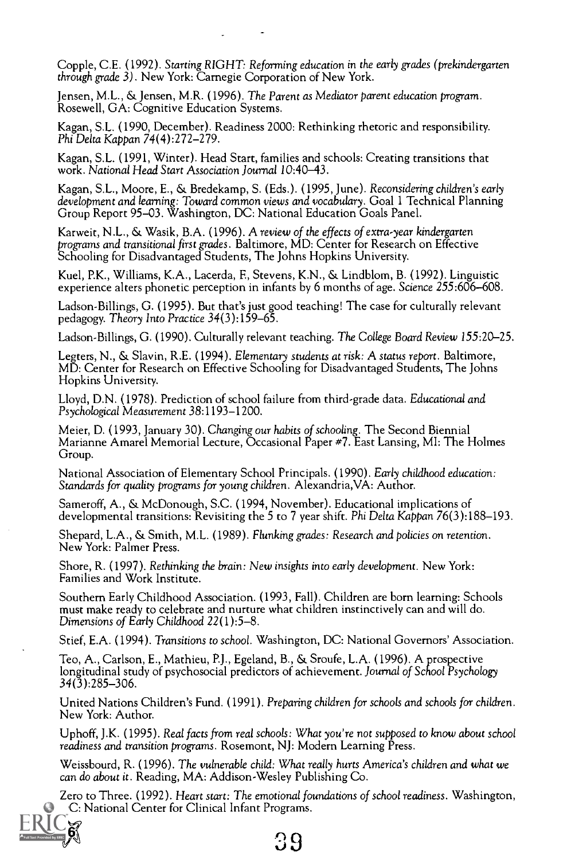Copple, C.E. (1992). Starting RIGHT: Reforming education in the early grades (prekindergarten through grade 3). New York: Carnegie Corporation of New York.

Jensen, M.L., & Jensen, M.R. (1996). The Parent as Mediator parent education program. Rosewell, GA: Cognitive Education Systems.

Kagan, S.L. (1990, December). Readiness 2000: Rethinking rhetoric and responsibility. Phi Delta Kappan 74(4):272-279.

Kagan, S.L. (1991, Winter). Head Start, families and schools: Creating transitions that work. National Head Start Association Journal 10:40-43.

Kagan, S.L., Moore, E., & Bredekamp, S. (Eds.). (1995, June). Reconsidering children's early development and learning: Toward common views and vocabulary. Goal 1 Technical Planning Group Report 95-03. Washington, DC: National Education Goals Panel.

Karweit, N.L., & Wasik, B.A. (1996). A review of the effects of extra-year kindergarten programs and transitional first grades. Baltimore, MD: Center for Research on Effective Schooling for Disadvantaged Students, The Johns Hopkins University.

Kuel, P.K., Williams, K.A., Lacerda, F, Stevens, K.N., & Lindblom, B. (1992). Linguistic experience alters phonetic perception in infants by 6 months of age. Science 255:606-608.

Ladson-Billings, G. (1995). But that's just good teaching! The case for culturally relevant pedagogy. Theory Into Practice 34(3):159-65.

Ladson-Billings, G. (1990). Culturally relevant teaching. The College Board Review 155:20-25.

Legters, N., & Slavin, R.E. (1994). Elementary students at risk: A status report. Baltimore, MD: Center for Research on Effective Schooling for Disadvantaged Students, The Johns Hopkins University.

Lloyd, D.N. (1978). Prediction of school failure from third-grade data. Educational and Psychological Measurement 38:1193-1200.

Meier, D. (1993, January 30). Changing our habits of schooling. The Second Biennial Marianne Amarel Memorial Lecture, Occasional Paper #7. East Lansing, MI: The Holmes Group.

National Association of Elementary School Principals. (1990). Early childhood education: Standards for quality programs for young children. Alexandria,VA: Author.

Sameroff, A., & McDonough, S.C. (1994, November). Educational implications of developmental transitions: Revisiting the 5 to 7 year shift. Phi Delta Kappan 76(3):188–193.

Shepard, L.A., & Smith, M.L. (1989). Flunking grades: Research and policies on retention. New York: Palmer Press.

Shore, R. (1997). Rethinking the brain: New insights into early development. New York: Families and Work Institute.

Southern Early Childhood Association. (1993, Fall). Children are born learning: Schools must make ready to celebrate and nurture what children instinctively can and will do. Dimensions of Early Childhood 22(1):5-8.

Stief, E.A. (1994). Transitions to school. Washington, DC: National Governors' Association.

Teo, A., Carlson, E., Mathieu, P.J., Egeland, B., & Sroufe, L.A. (1996). A prospective longitudinal study of psychosocial predictors of achievement. Journal of School Psychology 34(3):285-306.

United Nations Children's Fund. (1991). Preparing children for schools and schools for children. New York: Author.

Uphoff, J.K. (1995). Real facts from real schools: What you're not supposed to know about school readiness and transition programs. Rosemont, NJ: Modern Learning Press.

Weissbourd, R. (1996). The vulnerable child: What really hurts America's children and what we can do about it. Reading, MA: Addison-Wesley Publishing Co.

Zero to Three. (1992). Heart start: The emotional foundations of school readiness. Washington, C: National Center for Clinical Infant Programs.

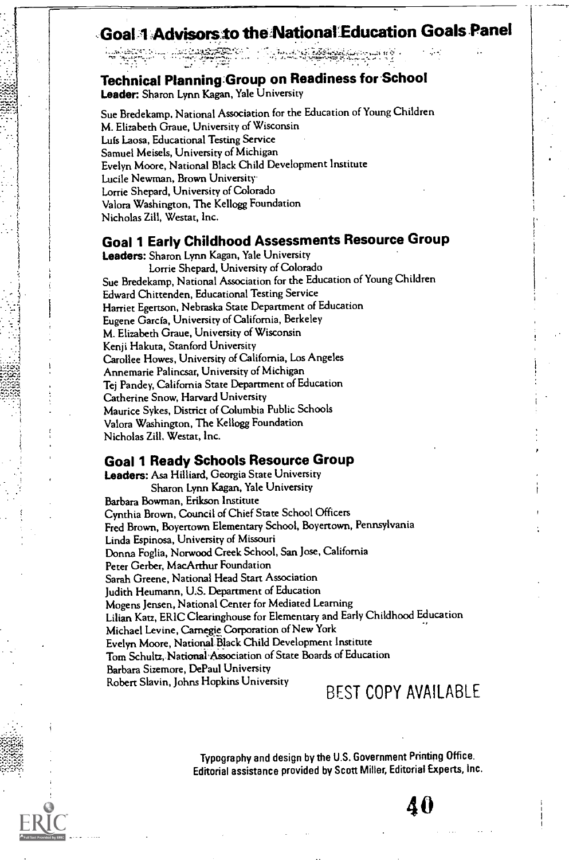#### Goal 1 Advisorsto the National Education Goals Panel

#### Technical Planning:Group on Readiness for School

Leader: Sharon Lynn Kagan, Yale University

Sue Bredekamp, National Association for the Education of Young Children M. Elizabeth Graue, University of Wisconsin Luis Laosa, Educational Testing Service Samuel Meisels, University of Michigan Evelyn Moore, National Black Child Development Institute Lucile Newman, Brown University. Lorrie Shepard, University of Colorado Valora Washington, The Kellogg Foundation Nicholas Zill, Westat, Inc.

#### Goal 1 Early Childhood Assessments Resource Group

Leaders: Sharon Lynn Kagan, Yale University Lorrie Shepard, University of Colorado Sue Bredekamp, National Association for the Education of Young Children Edward Chittenden, Educational Testing Service Harriet Egertson, Nebraska State Department of Education Eugene Garcia, University of California, Berkeley M. Elizabeth Graue, University of Wisconsin Kenji Hakuta, Stanford University Carollee Howes, University of California, Los Angeles Annemarie Palincsar, University of Michigan Tej Pandey, California State Department of Education Catherine Snow, Harvard University Maurice Sykes, District of Columbia Public Schools Valora Washington, The Kellogg Foundation Nicholas Zill, Westat, Inc.

#### Goal 1 Ready Schools Resource Group

Leaders: Asa Hilliard, Georgia State University Sharon Lynn Kagan, Yale University Barbara Bowman, Erikson Institute Cynthia Brown, Council of Chief State School Officers Fred Brown, Boyertown Elementary School, Boyertown, Pennsylvania Linda Espinosa, University of Missouri Donna Foglia, Norwood Creek School, San Jose, California Peter Gerber, MacArthur Foundation Sarah Greene, National Head Start Association Judith Heumann, US. Department of Education Mogens Jensen, National Center for Mediated Learning Lilian Katz, ERIC Clearinghouse for Elementary and Early Childhood Education Michael Levine, Carnegie Corporation of New York Evelyn Moore, National.Black Child Development Institute Tom Schultz, National Association of State Boards of Education Barbara Sizemore, DePaul University Robert Slavin, johns Hopkins University BEST COPY AVAILABLE

> Typography and design by the U.S. Government Printing Office. Editorial assistance provided by Scott Miller, Editorial Experts, Inc.

> > A (1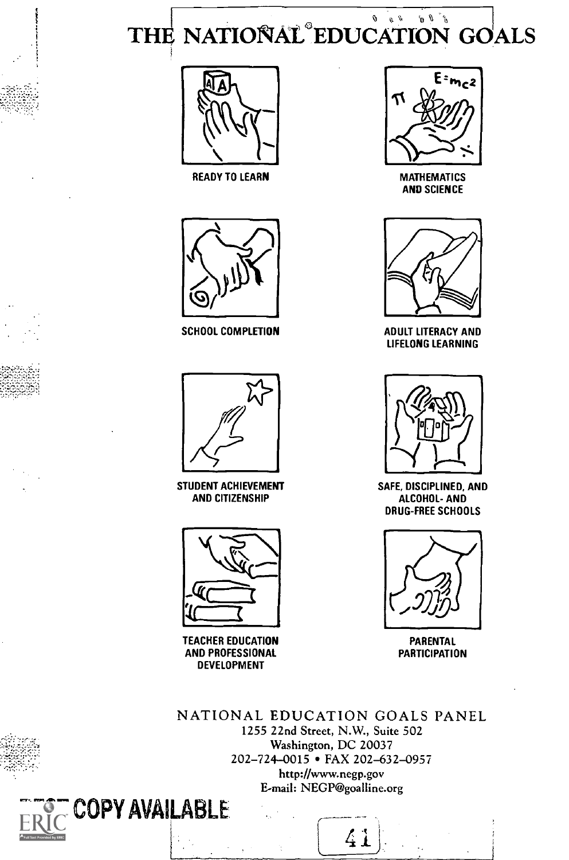THE NATIONAL EDUCATION GOALS



MATHEMATICS AND SCIENCE



ADULT LITERACY AND LIFELONG LEARNING



SAFE, DISCIPLINED, AND ALCOHOL- AND DRUG-FREE SCHOOLS



PARENTAL **PARTICIPATION** 





READY TO LEARN



SCHOOL COMPLETION



STUDENT ACHIEVEMENT AND CITIZENSHIP



TEACHER EDUCATION AND PROFESSIONAL DEVELOPMENT



41